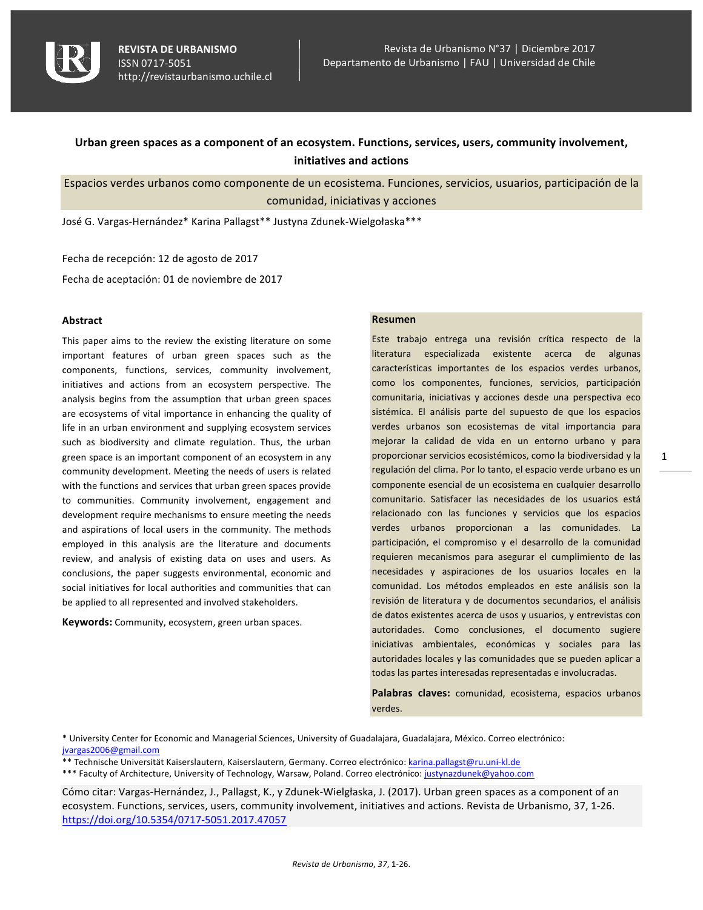

# Urban green spaces as a component of an ecosystem. Functions, services, users, community involvement, **initiatives and actions**

Espacios verdes urbanos como componente de un ecosistema. Funciones, servicios, usuarios, participación de la comunidad, iniciativas y acciones

José G. Vargas-Hernández\* Karina Pallagst\*\* Justyna Zdunek-Wielgołaska\*\*\*

Fecha de recepción: 12 de agosto de 2017

Fecha de aceptación: 01 de noviembre de 2017

### **Abstract**

This paper aims to the review the existing literature on some important features of urban green spaces such as the components, functions, services, community involvement, initiatives and actions from an ecosystem perspective. The analysis begins from the assumption that urban green spaces are ecosystems of vital importance in enhancing the quality of life in an urban environment and supplying ecosystem services such as biodiversity and climate regulation. Thus, the urban green space is an important component of an ecosystem in any community development. Meeting the needs of users is related with the functions and services that urban green spaces provide to communities. Community involvement, engagement and development require mechanisms to ensure meeting the needs and aspirations of local users in the community. The methods employed in this analysis are the literature and documents review, and analysis of existing data on uses and users. As conclusions, the paper suggests environmental, economic and social initiatives for local authorities and communities that can be applied to all represented and involved stakeholders.

**Keywords:** Community, ecosystem, green urban spaces.

### **Resumen**

Este trabajo entrega una revisión crítica respecto de la literatura especializada existente acerca de algunas características importantes de los espacios verdes urbanos, como los componentes, funciones, servicios, participación comunitaria, iniciativas y acciones desde una perspectiva eco sistémica. El análisis parte del supuesto de que los espacios verdes urbanos son ecosistemas de vital importancia para mejorar la calidad de vida en un entorno urbano y para proporcionar servicios ecosistémicos, como la biodiversidad y la regulación del clima. Por lo tanto, el espacio verde urbano es un componente esencial de un ecosistema en cualquier desarrollo comunitario. Satisfacer las necesidades de los usuarios está relacionado con las funciones y servicios que los espacios verdes urbanos proporcionan a las comunidades. La participación, el compromiso y el desarrollo de la comunidad requieren mecanismos para asegurar el cumplimiento de las necesidades y aspiraciones de los usuarios locales en la comunidad. Los métodos empleados en este análisis son la revisión de literatura y de documentos secundarios, el análisis de datos existentes acerca de usos y usuarios, y entrevistas con autoridades. Como conclusiones, el documento sugiere iniciativas ambientales, económicas y sociales para las autoridades locales y las comunidades que se pueden aplicar a todas las partes interesadas representadas e involucradas.

Palabras claves: comunidad, ecosistema, espacios urbanos verdes.

\* University Center for Economic and Managerial Sciences, University of Guadalajara, Guadalajara, México. Correo electrónico: jvargas2006@gmail.com

\*\* Technische Universität Kaiserslautern, Kaiserslautern, Germany. Correo electrónico: karina.pallagst@ru.uni-kl.de

\*\*\* Faculty of Architecture, University of Technology, Warsaw, Poland. Correo electrónico: justynazdunek@yahoo.com

Cómo citar: Vargas-Hernández, J., Pallagst, K., y Zdunek-Wielgłaska, J. (2017). Urban green spaces as a component of an ecosystem. Functions, services, users, community involvement, initiatives and actions. Revista de Urbanismo, 37, 1-26. https://doi.org/10.5354/0717-5051.2017.47057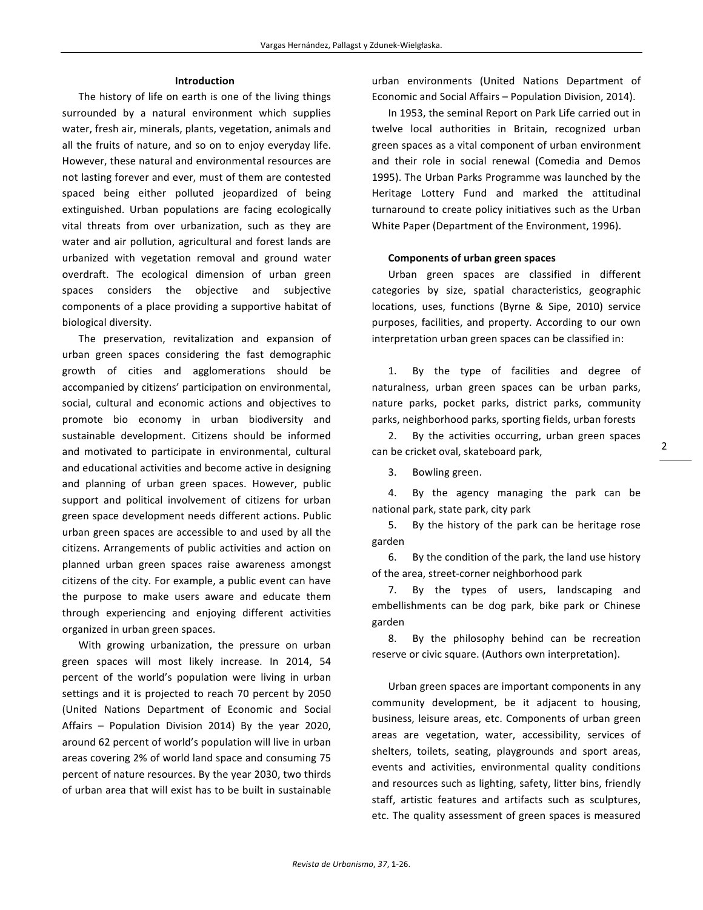#### **Introduction**

The history of life on earth is one of the living things surrounded by a natural environment which supplies water, fresh air, minerals, plants, vegetation, animals and all the fruits of nature, and so on to enjoy everyday life. However, these natural and environmental resources are not lasting forever and ever, must of them are contested spaced being either polluted jeopardized of being extinguished. Urban populations are facing ecologically vital threats from over urbanization, such as they are water and air pollution, agricultural and forest lands are urbanized with vegetation removal and ground water overdraft. The ecological dimension of urban green spaces considers the objective and subjective components of a place providing a supportive habitat of biological diversity.

The preservation, revitalization and expansion of urban green spaces considering the fast demographic growth of cities and agglomerations should be accompanied by citizens' participation on environmental, social, cultural and economic actions and objectives to promote bio economy in urban biodiversity and sustainable development. Citizens should be informed and motivated to participate in environmental, cultural and educational activities and become active in designing and planning of urban green spaces. However, public support and political involvement of citizens for urban green space development needs different actions. Public urban green spaces are accessible to and used by all the citizens. Arrangements of public activities and action on planned urban green spaces raise awareness amongst citizens of the city. For example, a public event can have the purpose to make users aware and educate them through experiencing and enjoying different activities organized in urban green spaces.

With growing urbanization, the pressure on urban green spaces will most likely increase. In 2014, 54 percent of the world's population were living in urban settings and it is projected to reach 70 percent by 2050 (United Nations Department of Economic and Social Affairs  $-$  Population Division 2014) By the year 2020, around 62 percent of world's population will live in urban areas covering 2% of world land space and consuming 75 percent of nature resources. By the year 2030, two thirds of urban area that will exist has to be built in sustainable

urban environments (United Nations Department of Economic and Social Affairs - Population Division, 2014).

In 1953, the seminal Report on Park Life carried out in twelve local authorities in Britain, recognized urban green spaces as a vital component of urban environment and their role in social renewal (Comedia and Demos 1995). The Urban Parks Programme was launched by the Heritage Lottery Fund and marked the attitudinal turnaround to create policy initiatives such as the Urban White Paper (Department of the Environment, 1996).

#### **Components of urban green spaces**

Urban green spaces are classified in different categories by size, spatial characteristics, geographic locations, uses, functions (Byrne & Sipe, 2010) service purposes, facilities, and property. According to our own interpretation urban green spaces can be classified in:

1. By the type of facilities and degree of naturalness, urban green spaces can be urban parks, nature parks, pocket parks, district parks, community parks, neighborhood parks, sporting fields, urban forests

2. By the activities occurring, urban green spaces can be cricket oval, skateboard park,

3. Bowling green.

4. By the agency managing the park can be national park, state park, city park

5. By the history of the park can be heritage rose garden

6. By the condition of the park, the land use history of the area, street-corner neighborhood park

7. By the types of users, landscaping and embellishments can be dog park, bike park or Chinese garden

8. By the philosophy behind can be recreation reserve or civic square. (Authors own interpretation).

Urban green spaces are important components in any community development, be it adjacent to housing, business, leisure areas, etc. Components of urban green areas are vegetation, water, accessibility, services of shelters, toilets, seating, playgrounds and sport areas, events and activities, environmental quality conditions and resources such as lighting, safety, litter bins, friendly staff, artistic features and artifacts such as sculptures, etc. The quality assessment of green spaces is measured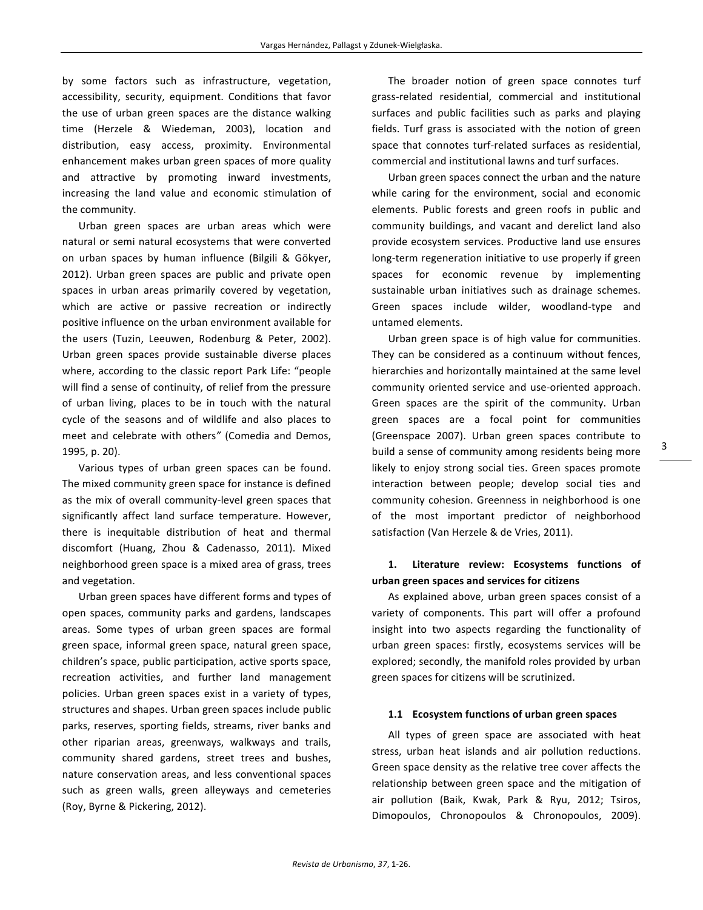by some factors such as infrastructure, vegetation, accessibility, security, equipment. Conditions that favor the use of urban green spaces are the distance walking time (Herzele & Wiedeman, 2003), location and distribution, easy access, proximity. Environmental enhancement makes urban green spaces of more quality and attractive by promoting inward investments, increasing the land value and economic stimulation of the community.

Urban green spaces are urban areas which were natural or semi natural ecosystems that were converted on urban spaces by human influence (Bilgili & Gökyer, 2012). Urban green spaces are public and private open spaces in urban areas primarily covered by vegetation, which are active or passive recreation or indirectly positive influence on the urban environment available for the users (Tuzin, Leeuwen, Rodenburg & Peter, 2002). Urban green spaces provide sustainable diverse places where, according to the classic report Park Life: "people will find a sense of continuity, of relief from the pressure of urban living, places to be in touch with the natural cycle of the seasons and of wildlife and also places to meet and celebrate with others" (Comedia and Demos, 1995, p. 20).

Various types of urban green spaces can be found. The mixed community green space for instance is defined as the mix of overall community-level green spaces that significantly affect land surface temperature. However, there is inequitable distribution of heat and thermal discomfort (Huang, Zhou & Cadenasso, 2011). Mixed neighborhood green space is a mixed area of grass, trees and vegetation.

Urban green spaces have different forms and types of open spaces, community parks and gardens, landscapes areas. Some types of urban green spaces are formal green space, informal green space, natural green space, children's space, public participation, active sports space, recreation activities, and further land management policies. Urban green spaces exist in a variety of types, structures and shapes. Urban green spaces include public parks, reserves, sporting fields, streams, river banks and other riparian areas, greenways, walkways and trails, community shared gardens, street trees and bushes, nature conservation areas, and less conventional spaces such as green walls, green alleyways and cemeteries (Roy, Byrne & Pickering, 2012).

The broader notion of green space connotes turf grass-related residential, commercial and institutional surfaces and public facilities such as parks and playing fields. Turf grass is associated with the notion of green space that connotes turf-related surfaces as residential, commercial and institutional lawns and turf surfaces.

Urban green spaces connect the urban and the nature while caring for the environment, social and economic elements. Public forests and green roofs in public and community buildings, and vacant and derelict land also provide ecosystem services. Productive land use ensures long-term regeneration initiative to use properly if green spaces for economic revenue by implementing sustainable urban initiatives such as drainage schemes. Green spaces include wilder, woodland-type and untamed elements.

Urban green space is of high value for communities. They can be considered as a continuum without fences, hierarchies and horizontally maintained at the same level community oriented service and use-oriented approach. Green spaces are the spirit of the community. Urban green spaces are a focal point for communities (Greenspace 2007). Urban green spaces contribute to build a sense of community among residents being more likely to enjoy strong social ties. Green spaces promote interaction between people; develop social ties and community cohesion. Greenness in neighborhood is one of the most important predictor of neighborhood satisfaction (Van Herzele & de Vries, 2011).

# 1. Literature review: Ecosystems functions of **urban green spaces and services for citizens**

As explained above, urban green spaces consist of a variety of components. This part will offer a profound insight into two aspects regarding the functionality of urban green spaces: firstly, ecosystems services will be explored; secondly, the manifold roles provided by urban green spaces for citizens will be scrutinized.

### 1.1 **Ecosystem functions of urban green spaces**

All types of green space are associated with heat stress, urban heat islands and air pollution reductions. Green space density as the relative tree cover affects the relationship between green space and the mitigation of air pollution (Baik, Kwak, Park & Ryu, 2012; Tsiros, Dimopoulos, Chronopoulos & Chronopoulos, 2009).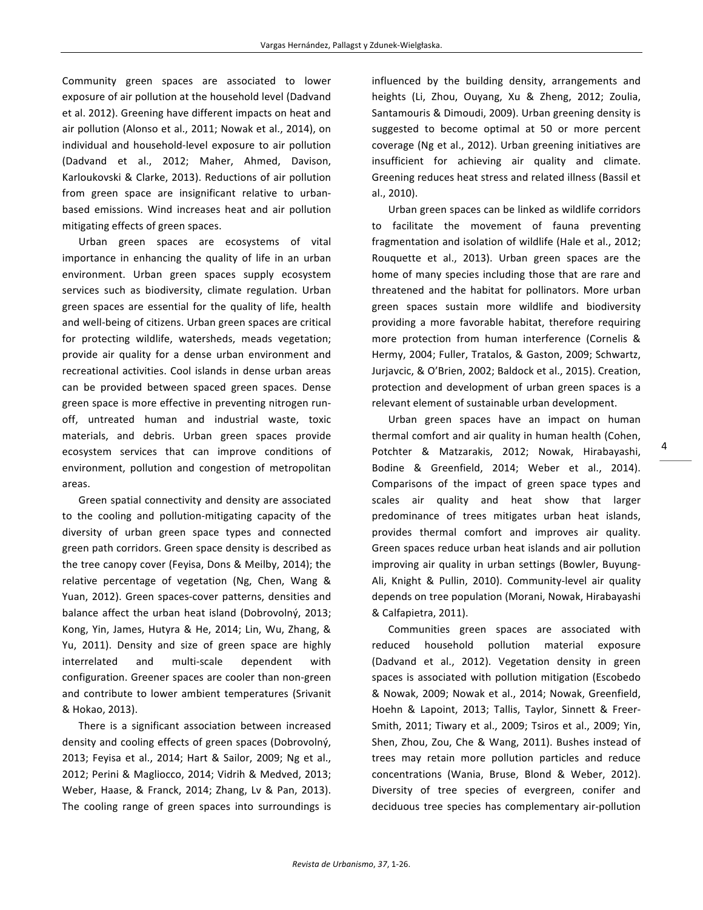Community green spaces are associated to lower exposure of air pollution at the household level (Dadvand et al. 2012). Greening have different impacts on heat and air pollution (Alonso et al., 2011; Nowak et al., 2014), on individual and household-level exposure to air pollution (Dadvand et al., 2012; Maher, Ahmed, Davison, Karloukovski & Clarke, 2013). Reductions of air pollution from green space are insignificant relative to urbanbased emissions. Wind increases heat and air pollution mitigating effects of green spaces.

Urban green spaces are ecosystems of vital importance in enhancing the quality of life in an urban environment. Urban green spaces supply ecosystem services such as biodiversity, climate regulation. Urban green spaces are essential for the quality of life, health and well-being of citizens. Urban green spaces are critical for protecting wildlife, watersheds, meads vegetation; provide air quality for a dense urban environment and recreational activities. Cool islands in dense urban areas can be provided between spaced green spaces. Dense green space is more effective in preventing nitrogen runoff, untreated human and industrial waste, toxic materials, and debris. Urban green spaces provide ecosystem services that can improve conditions of environment, pollution and congestion of metropolitan areas. 

Green spatial connectivity and density are associated to the cooling and pollution-mitigating capacity of the diversity of urban green space types and connected green path corridors. Green space density is described as the tree canopy cover (Feyisa, Dons & Meilby, 2014); the relative percentage of vegetation (Ng, Chen, Wang & Yuan, 2012). Green spaces-cover patterns, densities and balance affect the urban heat island (Dobrovolný, 2013; Kong, Yin, James, Hutyra & He, 2014; Lin, Wu, Zhang, & Yu, 2011). Density and size of green space are highly interrelated and multi-scale dependent with configuration. Greener spaces are cooler than non-green and contribute to lower ambient temperatures (Srivanit & Hokao, 2013). 

There is a significant association between increased density and cooling effects of green spaces (Dobrovolný, 2013; Feyisa et al., 2014; Hart & Sailor, 2009; Ng et al., 2012; Perini & Magliocco, 2014; Vidrih & Medved, 2013; Weber, Haase, & Franck, 2014; Zhang, Lv & Pan, 2013). The cooling range of green spaces into surroundings is

influenced by the building density, arrangements and heights (Li, Zhou, Ouyang, Xu & Zheng, 2012; Zoulia, Santamouris & Dimoudi, 2009). Urban greening density is suggested to become optimal at 50 or more percent coverage (Ng et al., 2012). Urban greening initiatives are insufficient for achieving air quality and climate. Greening reduces heat stress and related illness (Bassil et al., 2010).

Urban green spaces can be linked as wildlife corridors to facilitate the movement of fauna preventing fragmentation and isolation of wildlife (Hale et al., 2012; Rouquette et al., 2013). Urban green spaces are the home of many species including those that are rare and threatened and the habitat for pollinators. More urban green spaces sustain more wildlife and biodiversity providing a more favorable habitat, therefore requiring more protection from human interference (Cornelis & Hermy, 2004; Fuller, Tratalos, & Gaston, 2009; Schwartz, Jurjavcic, & O'Brien, 2002; Baldock et al., 2015). Creation, protection and development of urban green spaces is a relevant element of sustainable urban development.

Urban green spaces have an impact on human thermal comfort and air quality in human health (Cohen, Potchter & Matzarakis, 2012; Nowak, Hirabayashi, Bodine & Greenfield, 2014; Weber et al., 2014). Comparisons of the impact of green space types and scales air quality and heat show that larger predominance of trees mitigates urban heat islands, provides thermal comfort and improves air quality. Green spaces reduce urban heat islands and air pollution improving air quality in urban settings (Bowler, Buyung-Ali, Knight & Pullin, 2010). Community-level air quality depends on tree population (Morani, Nowak, Hirabayashi & Calfapietra, 2011).

Communities green spaces are associated with reduced household pollution material exposure (Dadvand et al., 2012). Vegetation density in green spaces is associated with pollution mitigation (Escobedo & Nowak, 2009; Nowak et al., 2014; Nowak, Greenfield, Hoehn & Lapoint, 2013; Tallis, Taylor, Sinnett & Freer-Smith, 2011; Tiwary et al., 2009; Tsiros et al., 2009; Yin, Shen, Zhou, Zou, Che & Wang, 2011). Bushes instead of trees may retain more pollution particles and reduce concentrations (Wania, Bruse, Blond & Weber, 2012). Diversity of tree species of evergreen, conifer and deciduous tree species has complementary air-pollution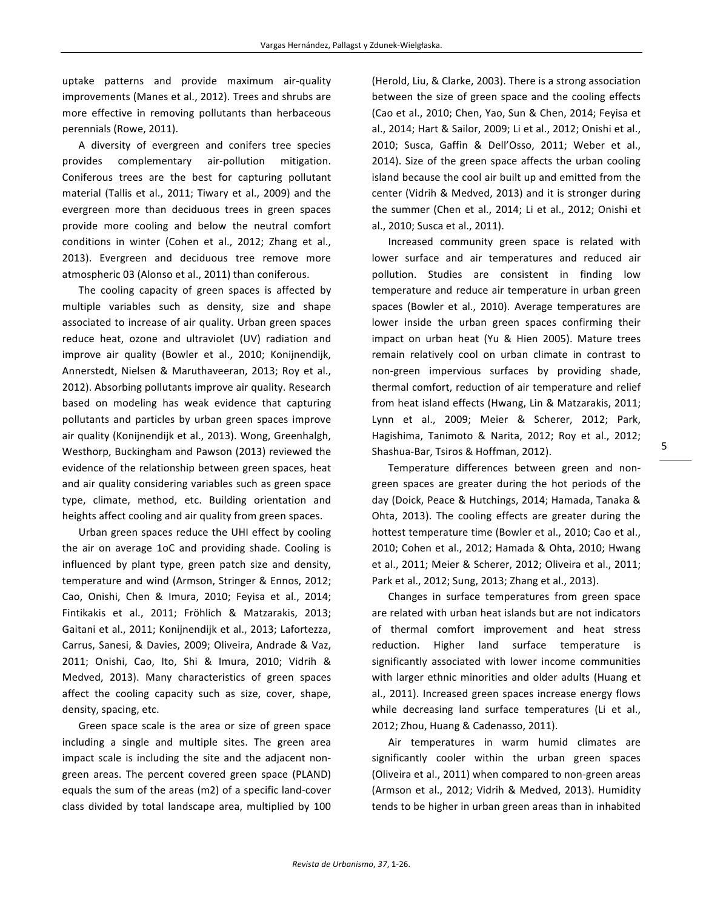uptake patterns and provide maximum air-quality improvements (Manes et al., 2012). Trees and shrubs are more effective in removing pollutants than herbaceous perennials (Rowe, 2011).

A diversity of evergreen and conifers tree species provides complementary air-pollution mitigation. Coniferous trees are the best for capturing pollutant material (Tallis et al., 2011; Tiwary et al., 2009) and the evergreen more than deciduous trees in green spaces provide more cooling and below the neutral comfort conditions in winter (Cohen et al., 2012; Zhang et al., 2013). Evergreen and deciduous tree remove more atmospheric 03 (Alonso et al., 2011) than coniferous.

The cooling capacity of green spaces is affected by multiple variables such as density, size and shape associated to increase of air quality. Urban green spaces reduce heat, ozone and ultraviolet (UV) radiation and improve air quality (Bowler et al., 2010; Konijnendijk, Annerstedt, Nielsen & Maruthaveeran, 2013; Roy et al., 2012). Absorbing pollutants improve air quality. Research based on modeling has weak evidence that capturing pollutants and particles by urban green spaces improve air quality (Konijnendijk et al., 2013). Wong, Greenhalgh, Westhorp, Buckingham and Pawson (2013) reviewed the evidence of the relationship between green spaces, heat and air quality considering variables such as green space type, climate, method, etc. Building orientation and heights affect cooling and air quality from green spaces.

Urban green spaces reduce the UHI effect by cooling the air on average 1oC and providing shade. Cooling is influenced by plant type, green patch size and density, temperature and wind (Armson, Stringer & Ennos, 2012; Cao, Onishi, Chen & Imura, 2010; Feyisa et al., 2014; Fintikakis et al., 2011; Fröhlich & Matzarakis, 2013; Gaitani et al., 2011; Konijnendijk et al., 2013; Lafortezza, Carrus, Sanesi, & Davies, 2009; Oliveira, Andrade & Vaz, 2011; Onishi, Cao, Ito, Shi & Imura, 2010; Vidrih & Medved, 2013). Many characteristics of green spaces affect the cooling capacity such as size, cover, shape, density, spacing, etc.

Green space scale is the area or size of green space including a single and multiple sites. The green area impact scale is including the site and the adjacent nongreen areas. The percent covered green space (PLAND) equals the sum of the areas (m2) of a specific land-cover class divided by total landscape area, multiplied by 100

(Herold, Liu, & Clarke, 2003). There is a strong association between the size of green space and the cooling effects (Cao et al., 2010; Chen, Yao, Sun & Chen, 2014; Feyisa et al., 2014; Hart & Sailor, 2009; Li et al., 2012; Onishi et al., 2010; Susca, Gaffin & Dell'Osso, 2011; Weber et al., 2014). Size of the green space affects the urban cooling island because the cool air built up and emitted from the center (Vidrih & Medved, 2013) and it is stronger during the summer (Chen et al., 2014; Li et al., 2012; Onishi et al., 2010; Susca et al., 2011).

Increased community green space is related with lower surface and air temperatures and reduced air pollution. Studies are consistent in finding low temperature and reduce air temperature in urban green spaces (Bowler et al., 2010). Average temperatures are lower inside the urban green spaces confirming their impact on urban heat (Yu & Hien 2005). Mature trees remain relatively cool on urban climate in contrast to non-green impervious surfaces by providing shade, thermal comfort, reduction of air temperature and relief from heat island effects (Hwang, Lin & Matzarakis, 2011; Lynn et al., 2009; Meier & Scherer, 2012; Park, Hagishima, Tanimoto & Narita, 2012; Roy et al., 2012; Shashua-Bar, Tsiros & Hoffman, 2012).

Temperature differences between green and nongreen spaces are greater during the hot periods of the day (Doick, Peace & Hutchings, 2014; Hamada, Tanaka & Ohta, 2013). The cooling effects are greater during the hottest temperature time (Bowler et al., 2010; Cao et al., 2010; Cohen et al., 2012; Hamada & Ohta, 2010; Hwang et al., 2011; Meier & Scherer, 2012; Oliveira et al., 2011; Park et al., 2012; Sung, 2013; Zhang et al., 2013).

Changes in surface temperatures from green space are related with urban heat islands but are not indicators of thermal comfort improvement and heat stress reduction. Higher land surface temperature is significantly associated with lower income communities with larger ethnic minorities and older adults (Huang et al., 2011). Increased green spaces increase energy flows while decreasing land surface temperatures (Li et al., 2012; Zhou, Huang & Cadenasso, 2011).

Air temperatures in warm humid climates are significantly cooler within the urban green spaces (Oliveira et al., 2011) when compared to non-green areas (Armson et al., 2012; Vidrih & Medved, 2013). Humidity tends to be higher in urban green areas than in inhabited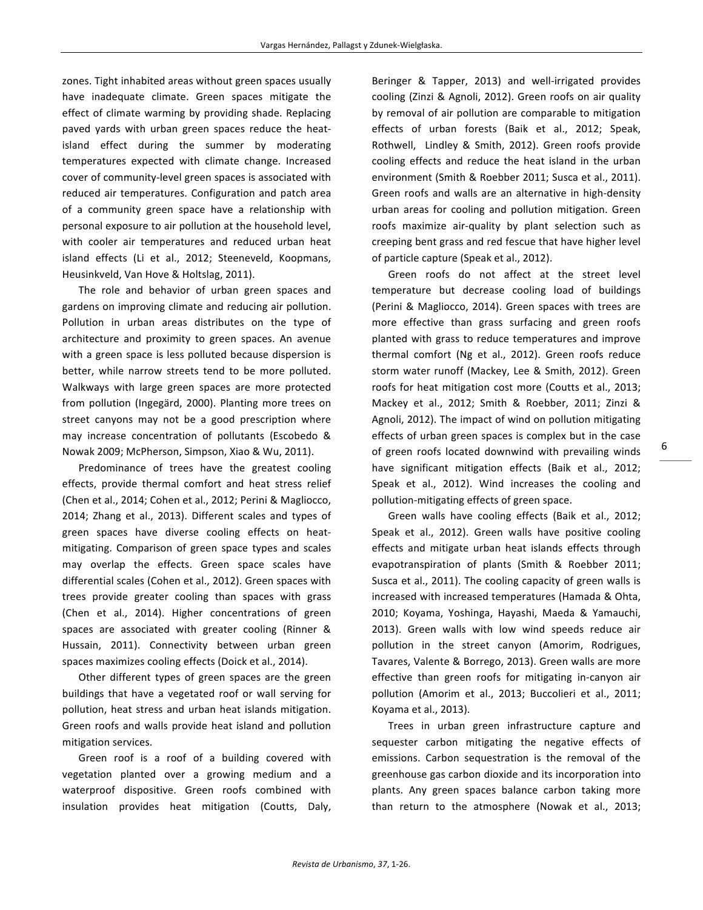zones. Tight inhabited areas without green spaces usually have inadequate climate. Green spaces mitigate the effect of climate warming by providing shade. Replacing paved yards with urban green spaces reduce the heatisland effect during the summer by moderating temperatures expected with climate change. Increased cover of community-level green spaces is associated with reduced air temperatures. Configuration and patch area of a community green space have a relationship with personal exposure to air pollution at the household level, with cooler air temperatures and reduced urban heat island effects (Li et al., 2012; Steeneveld, Koopmans, Heusinkveld, Van Hove & Holtslag, 2011).

The role and behavior of urban green spaces and gardens on improving climate and reducing air pollution. Pollution in urban areas distributes on the type of architecture and proximity to green spaces. An avenue with a green space is less polluted because dispersion is better, while narrow streets tend to be more polluted. Walkways with large green spaces are more protected from pollution (Ingegärd, 2000). Planting more trees on street canyons may not be a good prescription where may increase concentration of pollutants (Escobedo & Nowak 2009; McPherson, Simpson, Xiao & Wu, 2011).

Predominance of trees have the greatest cooling effects, provide thermal comfort and heat stress relief (Chen et al., 2014; Cohen et al., 2012; Perini & Magliocco, 2014; Zhang et al., 2013). Different scales and types of green spaces have diverse cooling effects on heatmitigating. Comparison of green space types and scales may overlap the effects. Green space scales have differential scales (Cohen et al., 2012). Green spaces with trees provide greater cooling than spaces with grass (Chen et al., 2014). Higher concentrations of green spaces are associated with greater cooling (Rinner & Hussain, 2011). Connectivity between urban green spaces maximizes cooling effects (Doick et al., 2014).

Other different types of green spaces are the green buildings that have a vegetated roof or wall serving for pollution, heat stress and urban heat islands mitigation. Green roofs and walls provide heat island and pollution mitigation services.

Green roof is a roof of a building covered with vegetation planted over a growing medium and a waterproof dispositive. Green roofs combined with insulation provides heat mitigation (Coutts, Daly, Beringer & Tapper, 2013) and well-irrigated provides cooling (Zinzi & Agnoli, 2012). Green roofs on air quality by removal of air pollution are comparable to mitigation effects of urban forests (Baik et al., 2012; Speak, Rothwell, Lindley & Smith, 2012). Green roofs provide cooling effects and reduce the heat island in the urban environment (Smith & Roebber 2011; Susca et al., 2011). Green roofs and walls are an alternative in high-density urban areas for cooling and pollution mitigation. Green roofs maximize air-quality by plant selection such as creeping bent grass and red fescue that have higher level of particle capture (Speak et al., 2012).

Green roofs do not affect at the street level temperature but decrease cooling load of buildings (Perini & Magliocco, 2014). Green spaces with trees are more effective than grass surfacing and green roofs planted with grass to reduce temperatures and improve thermal comfort (Ng et al., 2012). Green roofs reduce storm water runoff (Mackey, Lee & Smith, 2012). Green roofs for heat mitigation cost more (Coutts et al., 2013; Mackey et al., 2012; Smith & Roebber, 2011; Zinzi & Agnoli, 2012). The impact of wind on pollution mitigating effects of urban green spaces is complex but in the case of green roofs located downwind with prevailing winds have significant mitigation effects (Baik et al., 2012; Speak et al., 2012). Wind increases the cooling and pollution-mitigating effects of green space.

Green walls have cooling effects (Baik et al., 2012; Speak et al., 2012). Green walls have positive cooling effects and mitigate urban heat islands effects through evapotranspiration of plants (Smith & Roebber 2011; Susca et al., 2011). The cooling capacity of green walls is increased with increased temperatures (Hamada & Ohta, 2010; Koyama, Yoshinga, Hayashi, Maeda & Yamauchi, 2013). Green walls with low wind speeds reduce air pollution in the street canyon (Amorim, Rodrigues, Tavares, Valente & Borrego, 2013). Green walls are more effective than green roofs for mitigating in-canyon air pollution (Amorim et al., 2013; Buccolieri et al., 2011; Koyama et al., 2013).

Trees in urban green infrastructure capture and sequester carbon mitigating the negative effects of emissions. Carbon sequestration is the removal of the greenhouse gas carbon dioxide and its incorporation into plants. Any green spaces balance carbon taking more than return to the atmosphere (Nowak et al., 2013;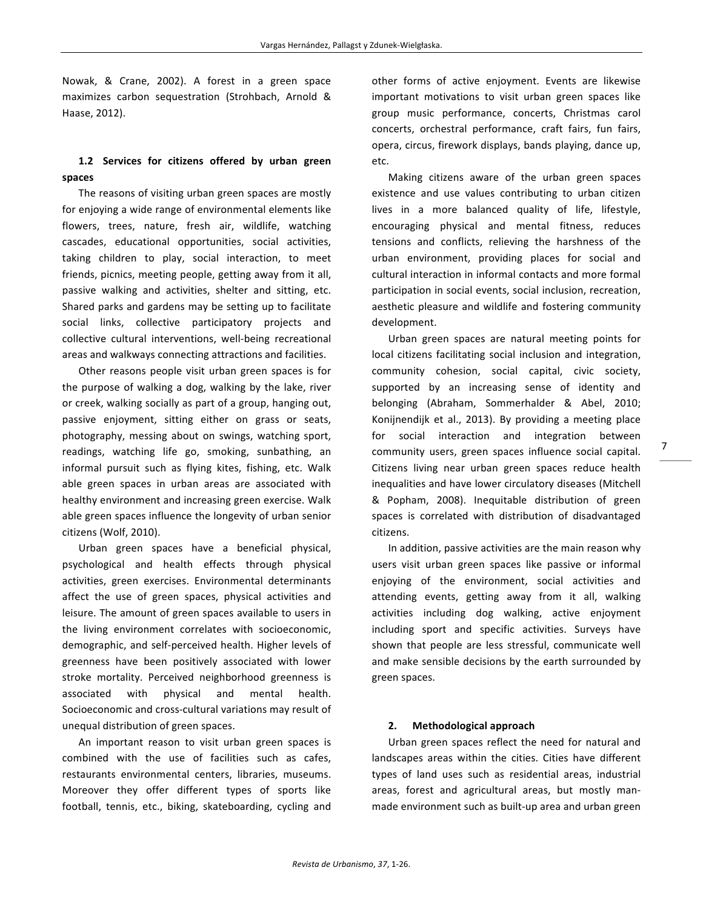Nowak, & Crane, 2002). A forest in a green space maximizes carbon sequestration (Strohbach, Arnold & Haase, 2012).

# 1.2 **Services for citizens offered by urban green spaces**

The reasons of visiting urban green spaces are mostly for enjoying a wide range of environmental elements like flowers, trees, nature, fresh air, wildlife, watching cascades, educational opportunities, social activities, taking children to play, social interaction, to meet friends, picnics, meeting people, getting away from it all, passive walking and activities, shelter and sitting, etc. Shared parks and gardens may be setting up to facilitate social links, collective participatory projects and collective cultural interventions, well-being recreational areas and walkways connecting attractions and facilities.

Other reasons people visit urban green spaces is for the purpose of walking a dog, walking by the lake, river or creek, walking socially as part of a group, hanging out, passive enjoyment, sitting either on grass or seats, photography, messing about on swings, watching sport, readings, watching life go, smoking, sunbathing, an informal pursuit such as flying kites, fishing, etc. Walk able green spaces in urban areas are associated with healthy environment and increasing green exercise. Walk able green spaces influence the longevity of urban senior citizens (Wolf, 2010).

Urban green spaces have a beneficial physical, psychological and health effects through physical activities, green exercises. Environmental determinants affect the use of green spaces, physical activities and leisure. The amount of green spaces available to users in the living environment correlates with socioeconomic, demographic, and self-perceived health. Higher levels of greenness have been positively associated with lower stroke mortality. Perceived neighborhood greenness is associated with physical and mental health. Socioeconomic and cross-cultural variations may result of unequal distribution of green spaces.

An important reason to visit urban green spaces is combined with the use of facilities such as cafes, restaurants environmental centers, libraries, museums. Moreover they offer different types of sports like football, tennis, etc., biking, skateboarding, cycling and

other forms of active enjoyment. Events are likewise important motivations to visit urban green spaces like group music performance, concerts, Christmas carol concerts, orchestral performance, craft fairs, fun fairs, opera, circus, firework displays, bands playing, dance up, etc.

Making citizens aware of the urban green spaces existence and use values contributing to urban citizen lives in a more balanced quality of life, lifestyle, encouraging physical and mental fitness, reduces tensions and conflicts, relieving the harshness of the urban environment, providing places for social and cultural interaction in informal contacts and more formal participation in social events, social inclusion, recreation, aesthetic pleasure and wildlife and fostering community development. 

Urban green spaces are natural meeting points for local citizens facilitating social inclusion and integration, community cohesion, social capital, civic society, supported by an increasing sense of identity and belonging (Abraham, Sommerhalder & Abel, 2010; Konijnendijk et al., 2013). By providing a meeting place for social interaction and integration between community users, green spaces influence social capital. Citizens living near urban green spaces reduce health inequalities and have lower circulatory diseases (Mitchell & Popham, 2008). Inequitable distribution of green spaces is correlated with distribution of disadvantaged citizens. 

In addition, passive activities are the main reason why users visit urban green spaces like passive or informal enjoying of the environment, social activities and attending events, getting away from it all, walking activities including dog walking, active enjoyment including sport and specific activities. Surveys have shown that people are less stressful, communicate well and make sensible decisions by the earth surrounded by green spaces. 

## **2. Methodological approach**

Urban green spaces reflect the need for natural and landscapes areas within the cities. Cities have different types of land uses such as residential areas, industrial areas, forest and agricultural areas, but mostly manmade environment such as built-up area and urban green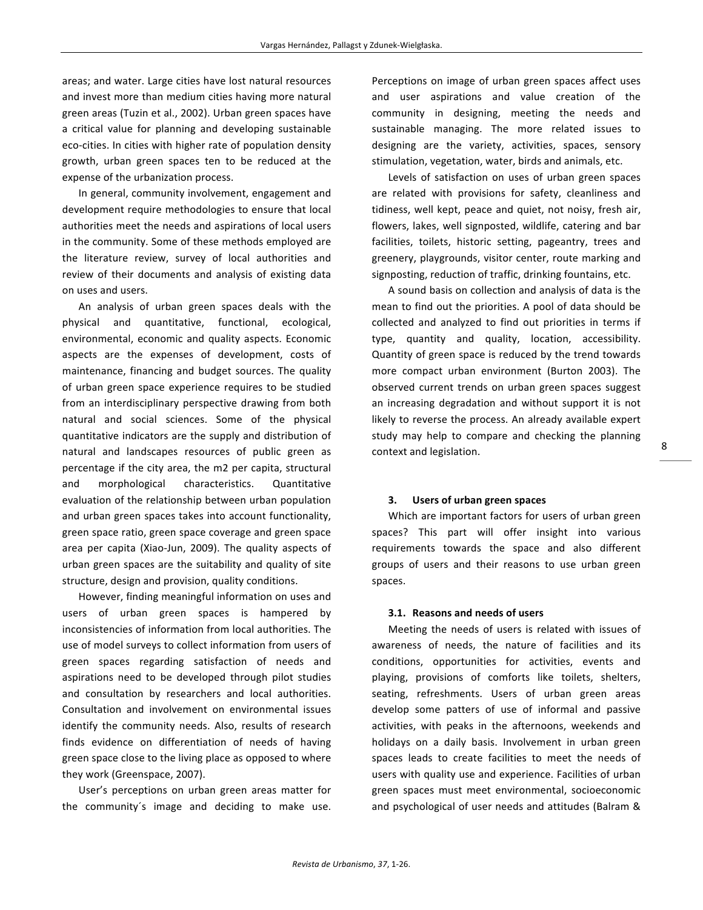areas; and water. Large cities have lost natural resources and invest more than medium cities having more natural green areas (Tuzin et al., 2002). Urban green spaces have a critical value for planning and developing sustainable eco-cities. In cities with higher rate of population density growth, urban green spaces ten to be reduced at the expense of the urbanization process.

In general, community involvement, engagement and development require methodologies to ensure that local authorities meet the needs and aspirations of local users in the community. Some of these methods employed are the literature review, survey of local authorities and review of their documents and analysis of existing data on uses and users.

An analysis of urban green spaces deals with the physical and quantitative, functional, ecological, environmental, economic and quality aspects. Economic aspects are the expenses of development, costs of maintenance, financing and budget sources. The quality of urban green space experience requires to be studied from an interdisciplinary perspective drawing from both natural and social sciences. Some of the physical quantitative indicators are the supply and distribution of natural and landscapes resources of public green as percentage if the city area, the m2 per capita, structural and morphological characteristics. Quantitative evaluation of the relationship between urban population and urban green spaces takes into account functionality, green space ratio, green space coverage and green space area per capita (Xiao-Jun, 2009). The quality aspects of urban green spaces are the suitability and quality of site structure, design and provision, quality conditions.

However, finding meaningful information on uses and users of urban green spaces is hampered by inconsistencies of information from local authorities. The use of model surveys to collect information from users of green spaces regarding satisfaction of needs and aspirations need to be developed through pilot studies and consultation by researchers and local authorities. Consultation and involvement on environmental issues identify the community needs. Also, results of research finds evidence on differentiation of needs of having green space close to the living place as opposed to where they work (Greenspace, 2007).

User's perceptions on urban green areas matter for the community's image and deciding to make use.

Perceptions on image of urban green spaces affect uses and user aspirations and value creation of the community in designing, meeting the needs and sustainable managing. The more related issues to designing are the variety, activities, spaces, sensory stimulation, vegetation, water, birds and animals, etc.

Levels of satisfaction on uses of urban green spaces are related with provisions for safety, cleanliness and tidiness, well kept, peace and quiet, not noisy, fresh air, flowers, lakes, well signposted, wildlife, catering and bar facilities, toilets, historic setting, pageantry, trees and greenery, playgrounds, visitor center, route marking and signposting, reduction of traffic, drinking fountains, etc.

A sound basis on collection and analysis of data is the mean to find out the priorities. A pool of data should be collected and analyzed to find out priorities in terms if type, quantity and quality, location, accessibility. Quantity of green space is reduced by the trend towards more compact urban environment (Burton 2003). The observed current trends on urban green spaces suggest an increasing degradation and without support it is not likely to reverse the process. An already available expert study may help to compare and checking the planning context and legislation.

### **3. Users of urban green spaces**

Which are important factors for users of urban green spaces? This part will offer insight into various requirements towards the space and also different groups of users and their reasons to use urban green spaces.

### **3.1. Reasons and needs of users**

Meeting the needs of users is related with issues of awareness of needs, the nature of facilities and its conditions, opportunities for activities, events and playing, provisions of comforts like toilets, shelters, seating, refreshments. Users of urban green areas develop some patters of use of informal and passive activities, with peaks in the afternoons, weekends and holidays on a daily basis. Involvement in urban green spaces leads to create facilities to meet the needs of users with quality use and experience. Facilities of urban green spaces must meet environmental, socioeconomic and psychological of user needs and attitudes (Balram &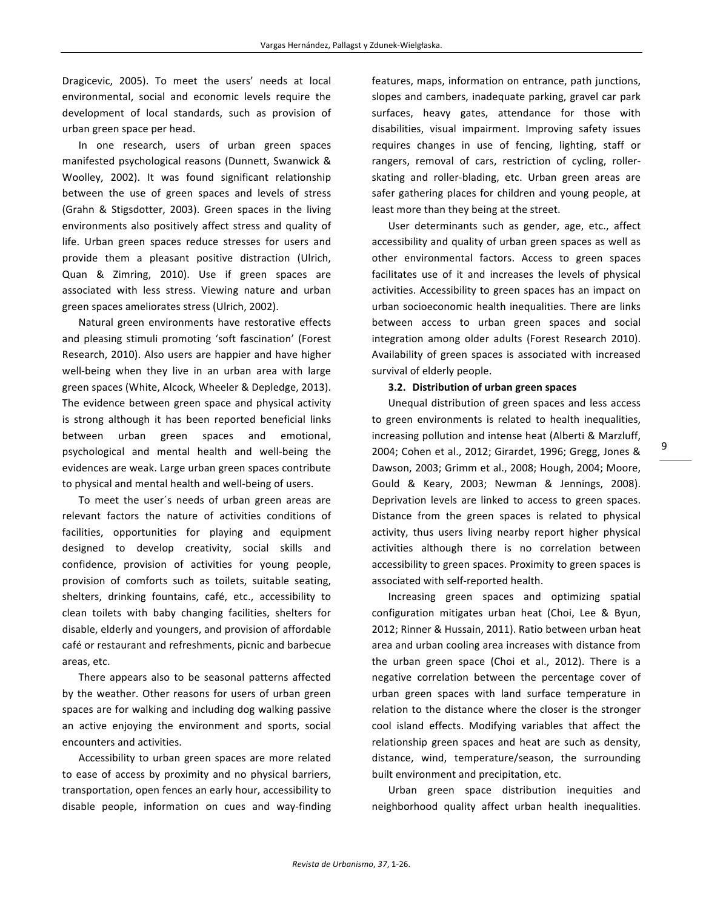Dragicevic, 2005). To meet the users' needs at local environmental, social and economic levels require the development of local standards, such as provision of urban green space per head. 

In one research, users of urban green spaces manifested psychological reasons (Dunnett, Swanwick & Woolley, 2002). It was found significant relationship between the use of green spaces and levels of stress (Grahn & Stigsdotter, 2003). Green spaces in the living environments also positively affect stress and quality of life. Urban green spaces reduce stresses for users and provide them a pleasant positive distraction (Ulrich, Quan & Zimring, 2010). Use if green spaces are associated with less stress. Viewing nature and urban green spaces ameliorates stress (Ulrich, 2002).

Natural green environments have restorative effects and pleasing stimuli promoting 'soft fascination' (Forest Research, 2010). Also users are happier and have higher well-being when they live in an urban area with large green spaces (White, Alcock, Wheeler & Depledge, 2013). The evidence between green space and physical activity is strong although it has been reported beneficial links between urban green spaces and emotional, psychological and mental health and well-being the evidences are weak. Large urban green spaces contribute to physical and mental health and well-being of users.

To meet the user's needs of urban green areas are relevant factors the nature of activities conditions of facilities, opportunities for playing and equipment designed to develop creativity, social skills and confidence, provision of activities for young people, provision of comforts such as toilets, suitable seating, shelters, drinking fountains, café, etc., accessibility to clean toilets with baby changing facilities, shelters for disable, elderly and youngers, and provision of affordable café or restaurant and refreshments, picnic and barbecue areas, etc.

There appears also to be seasonal patterns affected by the weather. Other reasons for users of urban green spaces are for walking and including dog walking passive an active enjoying the environment and sports, social encounters and activities.

Accessibility to urban green spaces are more related to ease of access by proximity and no physical barriers, transportation, open fences an early hour, accessibility to disable people, information on cues and way-finding

features, maps, information on entrance, path junctions, slopes and cambers, inadequate parking, gravel car park surfaces, heavy gates, attendance for those with disabilities, visual impairment. Improving safety issues requires changes in use of fencing, lighting, staff or rangers, removal of cars, restriction of cycling, rollerskating and roller-blading, etc. Urban green areas are safer gathering places for children and young people, at least more than they being at the street.

User determinants such as gender, age, etc., affect accessibility and quality of urban green spaces as well as other environmental factors. Access to green spaces facilitates use of it and increases the levels of physical activities. Accessibility to green spaces has an impact on urban socioeconomic health inequalities. There are links between access to urban green spaces and social integration among older adults (Forest Research 2010). Availability of green spaces is associated with increased survival of elderly people.

#### **3.2. Distribution of urban green spaces**

Unequal distribution of green spaces and less access to green environments is related to health inequalities, increasing pollution and intense heat (Alberti & Marzluff, 2004; Cohen et al., 2012; Girardet, 1996; Gregg, Jones & Dawson, 2003; Grimm et al., 2008; Hough, 2004; Moore, Gould & Keary, 2003; Newman & Jennings, 2008). Deprivation levels are linked to access to green spaces. Distance from the green spaces is related to physical activity, thus users living nearby report higher physical activities although there is no correlation between accessibility to green spaces. Proximity to green spaces is associated with self-reported health.

Increasing green spaces and optimizing spatial configuration mitigates urban heat (Choi, Lee & Byun, 2012; Rinner & Hussain, 2011). Ratio between urban heat area and urban cooling area increases with distance from the urban green space (Choi et al., 2012). There is a negative correlation between the percentage cover of urban green spaces with land surface temperature in relation to the distance where the closer is the stronger cool island effects. Modifying variables that affect the relationship green spaces and heat are such as density, distance, wind, temperature/season, the surrounding built environment and precipitation, etc.

Urban green space distribution inequities and neighborhood quality affect urban health inequalities.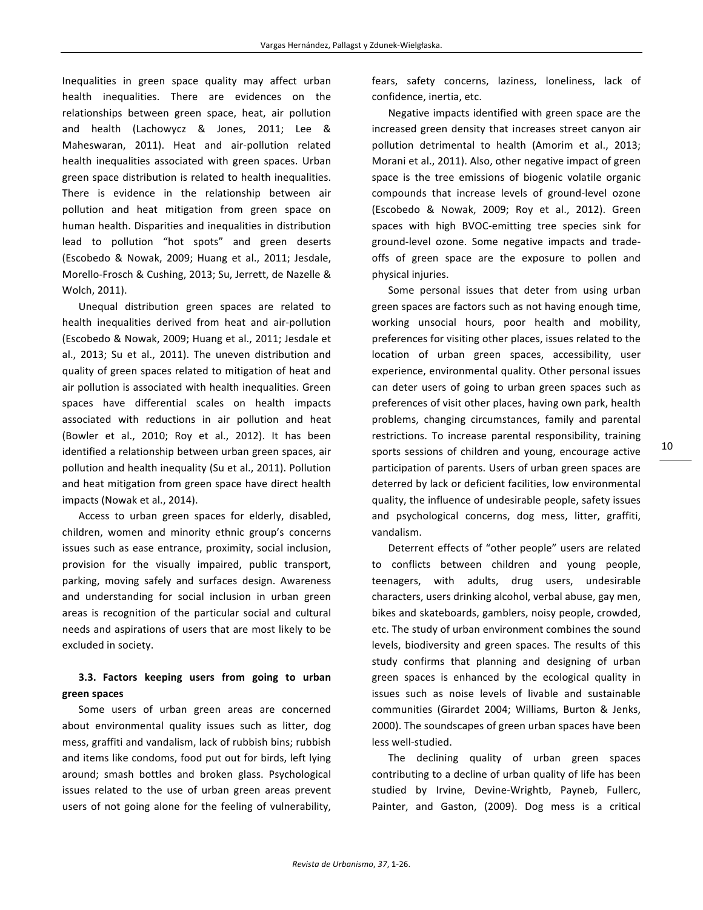Inequalities in green space quality may affect urban health inequalities. There are evidences on the relationships between green space, heat, air pollution and health (Lachowycz & Jones, 2011; Lee & Maheswaran, 2011). Heat and air-pollution related health inequalities associated with green spaces. Urban green space distribution is related to health inequalities. There is evidence in the relationship between air pollution and heat mitigation from green space on human health. Disparities and inequalities in distribution lead to pollution "hot spots" and green deserts (Escobedo & Nowak, 2009; Huang et al., 2011; Jesdale, Morello-Frosch & Cushing, 2013; Su, Jerrett, de Nazelle & Wolch, 2011).

Unequal distribution green spaces are related to health inequalities derived from heat and air-pollution (Escobedo & Nowak, 2009; Huang et al., 2011; Jesdale et al., 2013; Su et al., 2011). The uneven distribution and quality of green spaces related to mitigation of heat and air pollution is associated with health inequalities. Green spaces have differential scales on health impacts associated with reductions in air pollution and heat (Bowler et al., 2010; Roy et al., 2012). It has been identified a relationship between urban green spaces, air pollution and health inequality (Su et al., 2011). Pollution and heat mitigation from green space have direct health impacts (Nowak et al., 2014).

Access to urban green spaces for elderly, disabled, children, women and minority ethnic group's concerns issues such as ease entrance, proximity, social inclusion, provision for the visually impaired, public transport, parking, moving safely and surfaces design. Awareness and understanding for social inclusion in urban green areas is recognition of the particular social and cultural needs and aspirations of users that are most likely to be excluded in society.

# **3.3. Factors keeping users from going to urban green spaces**

Some users of urban green areas are concerned about environmental quality issues such as litter, dog mess, graffiti and vandalism, lack of rubbish bins; rubbish and items like condoms, food put out for birds, left lying around; smash bottles and broken glass. Psychological issues related to the use of urban green areas prevent users of not going alone for the feeling of vulnerability, fears, safety concerns, laziness, loneliness, lack of confidence, inertia, etc.

Negative impacts identified with green space are the increased green density that increases street canyon air pollution detrimental to health (Amorim et al., 2013; Morani et al., 2011). Also, other negative impact of green space is the tree emissions of biogenic volatile organic compounds that increase levels of ground-level ozone (Escobedo & Nowak, 2009; Roy et al., 2012). Green spaces with high BVOC-emitting tree species sink for ground-level ozone. Some negative impacts and tradeoffs of green space are the exposure to pollen and physical injuries.

Some personal issues that deter from using urban green spaces are factors such as not having enough time, working unsocial hours, poor health and mobility, preferences for visiting other places, issues related to the location of urban green spaces, accessibility, user experience, environmental quality. Other personal issues can deter users of going to urban green spaces such as preferences of visit other places, having own park, health problems, changing circumstances, family and parental restrictions. To increase parental responsibility, training sports sessions of children and young, encourage active participation of parents. Users of urban green spaces are deterred by lack or deficient facilities, low environmental quality, the influence of undesirable people, safety issues and psychological concerns, dog mess, litter, graffiti, vandalism.

Deterrent effects of "other people" users are related to conflicts between children and young people, teenagers, with adults, drug users, undesirable characters, users drinking alcohol, verbal abuse, gay men, bikes and skateboards, gamblers, noisy people, crowded, etc. The study of urban environment combines the sound levels, biodiversity and green spaces. The results of this study confirms that planning and designing of urban green spaces is enhanced by the ecological quality in issues such as noise levels of livable and sustainable communities (Girardet 2004: Williams, Burton & Jenks, 2000). The soundscapes of green urban spaces have been less well-studied.

The declining quality of urban green spaces contributing to a decline of urban quality of life has been studied by Irvine, Devine-Wrightb, Payneb, Fullerc, Painter, and Gaston, (2009). Dog mess is a critical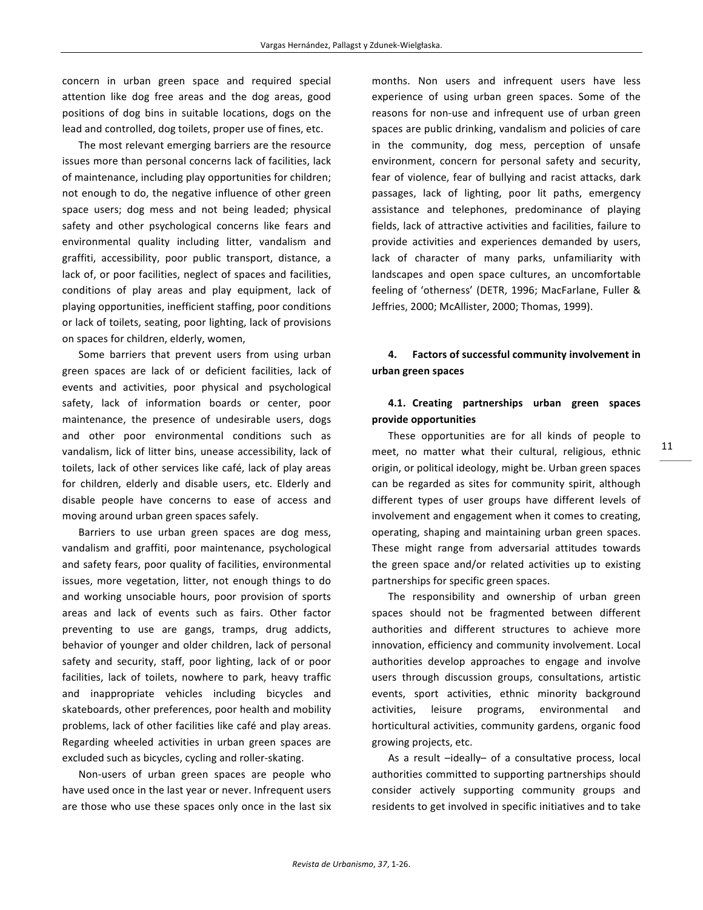concern in urban green space and required special attention like dog free areas and the dog areas, good positions of dog bins in suitable locations, dogs on the lead and controlled, dog toilets, proper use of fines, etc.

The most relevant emerging barriers are the resource issues more than personal concerns lack of facilities, lack of maintenance, including play opportunities for children; not enough to do, the negative influence of other green space users; dog mess and not being leaded; physical safety and other psychological concerns like fears and environmental quality including litter, vandalism and graffiti, accessibility, poor public transport, distance, a lack of, or poor facilities, neglect of spaces and facilities, conditions of play areas and play equipment, lack of playing opportunities, inefficient staffing, poor conditions or lack of toilets, seating, poor lighting, lack of provisions on spaces for children, elderly, women,

Some barriers that prevent users from using urban green spaces are lack of or deficient facilities, lack of events and activities, poor physical and psychological safety, lack of information boards or center, poor maintenance, the presence of undesirable users, dogs and other poor environmental conditions such as vandalism, lick of litter bins, unease accessibility, lack of toilets, lack of other services like café, lack of play areas for children, elderly and disable users, etc. Elderly and disable people have concerns to ease of access and moving around urban green spaces safely.

Barriers to use urban green spaces are dog mess, vandalism and graffiti, poor maintenance, psychological and safety fears, poor quality of facilities, environmental issues, more vegetation, litter, not enough things to do and working unsociable hours, poor provision of sports areas and lack of events such as fairs. Other factor preventing to use are gangs, tramps, drug addicts, behavior of younger and older children, lack of personal safety and security, staff, poor lighting, lack of or poor facilities, lack of toilets, nowhere to park, heavy traffic and inappropriate vehicles including bicycles and skateboards, other preferences, poor health and mobility problems, lack of other facilities like café and play areas. Regarding wheeled activities in urban green spaces are excluded such as bicycles, cycling and roller-skating.

Non-users of urban green spaces are people who have used once in the last year or never. Infrequent users are those who use these spaces only once in the last six

months. Non users and infrequent users have less experience of using urban green spaces. Some of the reasons for non-use and infrequent use of urban green spaces are public drinking, vandalism and policies of care in the community, dog mess, perception of unsafe environment, concern for personal safety and security, fear of violence, fear of bullying and racist attacks, dark passages, lack of lighting, poor lit paths, emergency assistance and telephones, predominance of playing fields, lack of attractive activities and facilities, failure to provide activities and experiences demanded by users, lack of character of many parks, unfamiliarity with landscapes and open space cultures, an uncomfortable feeling of 'otherness' (DETR, 1996; MacFarlane, Fuller & Jeffries, 2000; McAllister, 2000; Thomas, 1999).

# 4. Factors of successful community involvement in **urban green spaces**

# **4.1. Creating partnerships urban green spaces provide opportunities**

These opportunities are for all kinds of people to meet, no matter what their cultural, religious, ethnic origin, or political ideology, might be. Urban green spaces can be regarded as sites for community spirit, although different types of user groups have different levels of involvement and engagement when it comes to creating, operating, shaping and maintaining urban green spaces. These might range from adversarial attitudes towards the green space and/or related activities up to existing partnerships for specific green spaces.

The responsibility and ownership of urban green spaces should not be fragmented between different authorities and different structures to achieve more innovation, efficiency and community involvement. Local authorities develop approaches to engage and involve users through discussion groups, consultations, artistic events, sport activities, ethnic minority background activities, leisure programs, environmental and horticultural activities, community gardens, organic food growing projects, etc.

As a result -ideally- of a consultative process, local authorities committed to supporting partnerships should consider actively supporting community groups and residents to get involved in specific initiatives and to take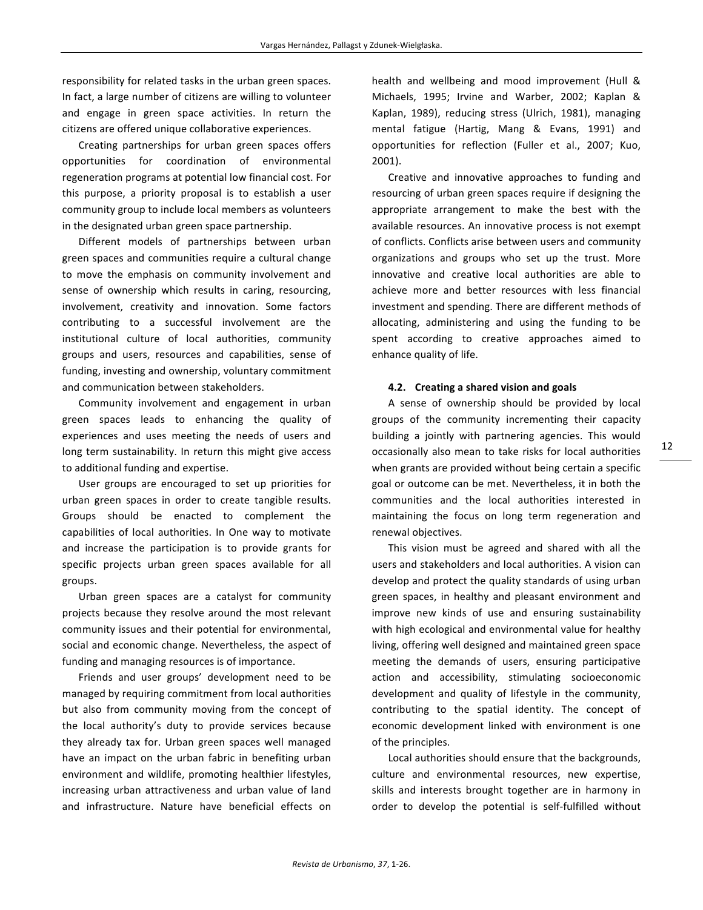responsibility for related tasks in the urban green spaces. In fact, a large number of citizens are willing to volunteer and engage in green space activities. In return the citizens are offered unique collaborative experiences.

Creating partnerships for urban green spaces offers opportunities for coordination of environmental regeneration programs at potential low financial cost. For this purpose, a priority proposal is to establish a user community group to include local members as volunteers in the designated urban green space partnership.

Different models of partnerships between urban green spaces and communities require a cultural change to move the emphasis on community involvement and sense of ownership which results in caring, resourcing, involvement, creativity and innovation. Some factors contributing to a successful involvement are the institutional culture of local authorities, community groups and users, resources and capabilities, sense of funding, investing and ownership, voluntary commitment and communication between stakeholders.

Community involvement and engagement in urban green spaces leads to enhancing the quality of experiences and uses meeting the needs of users and long term sustainability. In return this might give access to additional funding and expertise.

User groups are encouraged to set up priorities for urban green spaces in order to create tangible results. Groups should be enacted to complement the capabilities of local authorities. In One way to motivate and increase the participation is to provide grants for specific projects urban green spaces available for all groups. 

Urban green spaces are a catalyst for community projects because they resolve around the most relevant community issues and their potential for environmental, social and economic change. Nevertheless, the aspect of funding and managing resources is of importance.

Friends and user groups' development need to be managed by requiring commitment from local authorities but also from community moving from the concept of the local authority's duty to provide services because they already tax for. Urban green spaces well managed have an impact on the urban fabric in benefiting urban environment and wildlife, promoting healthier lifestyles, increasing urban attractiveness and urban value of land and infrastructure. Nature have beneficial effects on

health and wellbeing and mood improvement (Hull & Michaels, 1995; Irvine and Warber, 2002; Kaplan & Kaplan, 1989), reducing stress (Ulrich, 1981), managing mental fatigue (Hartig, Mang & Evans, 1991) and opportunities for reflection (Fuller et al., 2007; Kuo, 2001).

Creative and innovative approaches to funding and resourcing of urban green spaces require if designing the appropriate arrangement to make the best with the available resources. An innovative process is not exempt of conflicts. Conflicts arise between users and community organizations and groups who set up the trust. More innovative and creative local authorities are able to achieve more and better resources with less financial investment and spending. There are different methods of allocating, administering and using the funding to be spent according to creative approaches aimed to enhance quality of life.

#### **4.2. Creating a shared vision and goals**

A sense of ownership should be provided by local groups of the community incrementing their capacity building a jointly with partnering agencies. This would occasionally also mean to take risks for local authorities when grants are provided without being certain a specific goal or outcome can be met. Nevertheless, it in both the communities and the local authorities interested in maintaining the focus on long term regeneration and renewal objectives.

This vision must be agreed and shared with all the users and stakeholders and local authorities. A vision can develop and protect the quality standards of using urban green spaces, in healthy and pleasant environment and improve new kinds of use and ensuring sustainability with high ecological and environmental value for healthy living, offering well designed and maintained green space meeting the demands of users, ensuring participative action and accessibility, stimulating socioeconomic development and quality of lifestyle in the community, contributing to the spatial identity. The concept of economic development linked with environment is one of the principles.

Local authorities should ensure that the backgrounds, culture and environmental resources, new expertise, skills and interests brought together are in harmony in order to develop the potential is self-fulfilled without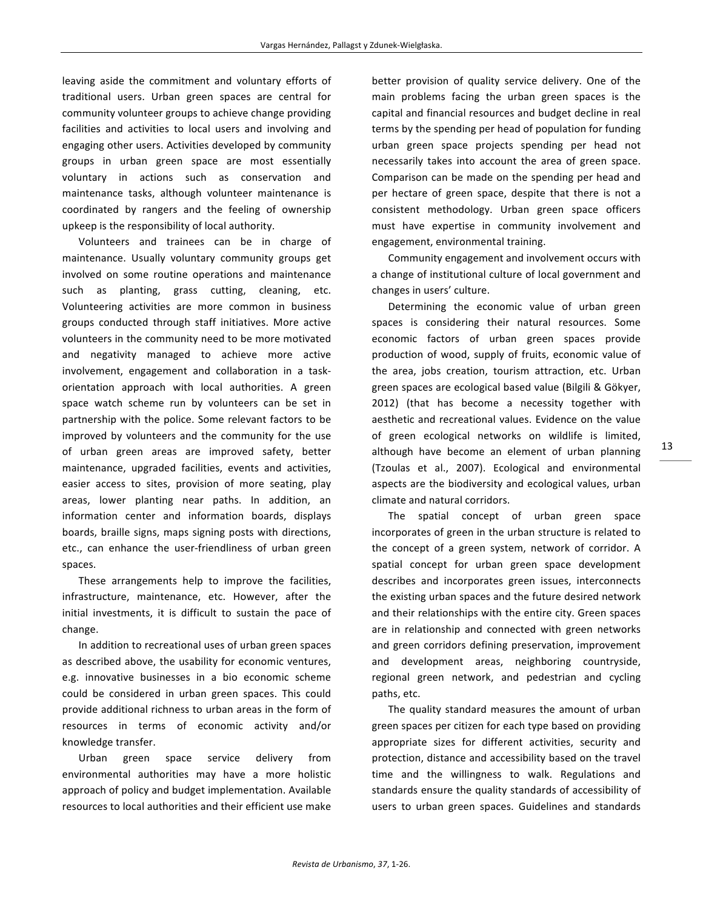leaving aside the commitment and voluntary efforts of traditional users. Urban green spaces are central for community volunteer groups to achieve change providing facilities and activities to local users and involving and engaging other users. Activities developed by community groups in urban green space are most essentially voluntary in actions such as conservation and maintenance tasks, although volunteer maintenance is coordinated by rangers and the feeling of ownership upkeep is the responsibility of local authority.

Volunteers and trainees can be in charge of maintenance. Usually voluntary community groups get involved on some routine operations and maintenance such as planting, grass cutting, cleaning, etc. Volunteering activities are more common in business groups conducted through staff initiatives. More active volunteers in the community need to be more motivated and negativity managed to achieve more active involvement, engagement and collaboration in a taskorientation approach with local authorities. A green space watch scheme run by volunteers can be set in partnership with the police. Some relevant factors to be improved by volunteers and the community for the use of urban green areas are improved safety, better maintenance, upgraded facilities, events and activities, easier access to sites, provision of more seating, play areas, lower planting near paths. In addition, an information center and information boards, displays boards, braille signs, maps signing posts with directions, etc., can enhance the user-friendliness of urban green spaces.

These arrangements help to improve the facilities, infrastructure, maintenance, etc. However, after the initial investments, it is difficult to sustain the pace of change.

In addition to recreational uses of urban green spaces as described above, the usability for economic ventures, e.g. innovative businesses in a bio economic scheme could be considered in urban green spaces. This could provide additional richness to urban areas in the form of resources in terms of economic activity and/or knowledge transfer.

Urban green space service delivery from environmental authorities may have a more holistic approach of policy and budget implementation. Available resources to local authorities and their efficient use make better provision of quality service delivery. One of the main problems facing the urban green spaces is the capital and financial resources and budget decline in real terms by the spending per head of population for funding urban green space projects spending per head not necessarily takes into account the area of green space. Comparison can be made on the spending per head and per hectare of green space, despite that there is not a consistent methodology. Urban green space officers must have expertise in community involvement and engagement, environmental training.

Community engagement and involvement occurs with a change of institutional culture of local government and changes in users' culture.

Determining the economic value of urban green spaces is considering their natural resources. Some economic factors of urban green spaces provide production of wood, supply of fruits, economic value of the area, jobs creation, tourism attraction, etc. Urban green spaces are ecological based value (Bilgili & Gökyer, 2012) (that has become a necessity together with aesthetic and recreational values. Evidence on the value of green ecological networks on wildlife is limited, although have become an element of urban planning (Tzoulas et al., 2007). Ecological and environmental aspects are the biodiversity and ecological values, urban climate and natural corridors.

The spatial concept of urban green space incorporates of green in the urban structure is related to the concept of a green system, network of corridor. A spatial concept for urban green space development describes and incorporates green issues, interconnects the existing urban spaces and the future desired network and their relationships with the entire city. Green spaces are in relationship and connected with green networks and green corridors defining preservation, improvement and development areas, neighboring countryside, regional green network, and pedestrian and cycling paths, etc.

The quality standard measures the amount of urban green spaces per citizen for each type based on providing appropriate sizes for different activities, security and protection, distance and accessibility based on the travel time and the willingness to walk. Regulations and standards ensure the quality standards of accessibility of users to urban green spaces. Guidelines and standards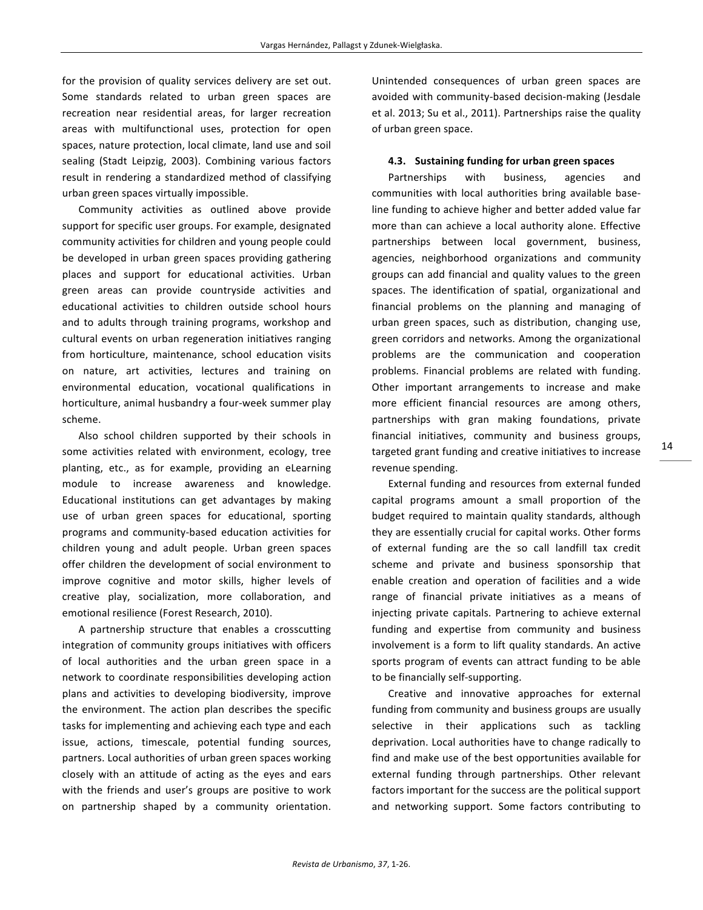for the provision of quality services delivery are set out. Some standards related to urban green spaces are recreation near residential areas, for larger recreation areas with multifunctional uses, protection for open spaces, nature protection, local climate, land use and soil sealing (Stadt Leipzig, 2003). Combining various factors result in rendering a standardized method of classifying urban green spaces virtually impossible.

Community activities as outlined above provide support for specific user groups. For example, designated community activities for children and young people could be developed in urban green spaces providing gathering places and support for educational activities. Urban green areas can provide countryside activities and educational activities to children outside school hours and to adults through training programs, workshop and cultural events on urban regeneration initiatives ranging from horticulture, maintenance, school education visits on nature, art activities, lectures and training on environmental education, vocational qualifications in horticulture, animal husbandry a four-week summer play scheme. 

Also school children supported by their schools in some activities related with environment, ecology, tree planting, etc., as for example, providing an eLearning module to increase awareness and knowledge. Educational institutions can get advantages by making use of urban green spaces for educational, sporting programs and community-based education activities for children young and adult people. Urban green spaces offer children the development of social environment to improve cognitive and motor skills, higher levels of creative play, socialization, more collaboration, and emotional resilience (Forest Research, 2010).

A partnership structure that enables a crosscutting integration of community groups initiatives with officers of local authorities and the urban green space in a network to coordinate responsibilities developing action plans and activities to developing biodiversity, improve the environment. The action plan describes the specific tasks for implementing and achieving each type and each issue, actions, timescale, potential funding sources, partners. Local authorities of urban green spaces working closely with an attitude of acting as the eyes and ears with the friends and user's groups are positive to work on partnership shaped by a community orientation. Unintended consequences of urban green spaces are avoided with community-based decision-making (Jesdale et al. 2013; Su et al., 2011). Partnerships raise the quality of urban green space.

#### **4.3.** Sustaining funding for urban green spaces

Partnerships with business, agencies and communities with local authorities bring available baseline funding to achieve higher and better added value far more than can achieve a local authority alone. Effective partnerships between local government, business, agencies, neighborhood organizations and community groups can add financial and quality values to the green spaces. The identification of spatial, organizational and financial problems on the planning and managing of urban green spaces, such as distribution, changing use, green corridors and networks. Among the organizational problems are the communication and cooperation problems. Financial problems are related with funding. Other important arrangements to increase and make more efficient financial resources are among others, partnerships with gran making foundations, private financial initiatives, community and business groups, targeted grant funding and creative initiatives to increase revenue spending.

External funding and resources from external funded capital programs amount a small proportion of the budget required to maintain quality standards, although they are essentially crucial for capital works. Other forms of external funding are the so call landfill tax credit scheme and private and business sponsorship that enable creation and operation of facilities and a wide range of financial private initiatives as a means of injecting private capitals. Partnering to achieve external funding and expertise from community and business involvement is a form to lift quality standards. An active sports program of events can attract funding to be able to be financially self-supporting.

Creative and innovative approaches for external funding from community and business groups are usually selective in their applications such as tackling deprivation. Local authorities have to change radically to find and make use of the best opportunities available for external funding through partnerships. Other relevant factors important for the success are the political support and networking support. Some factors contributing to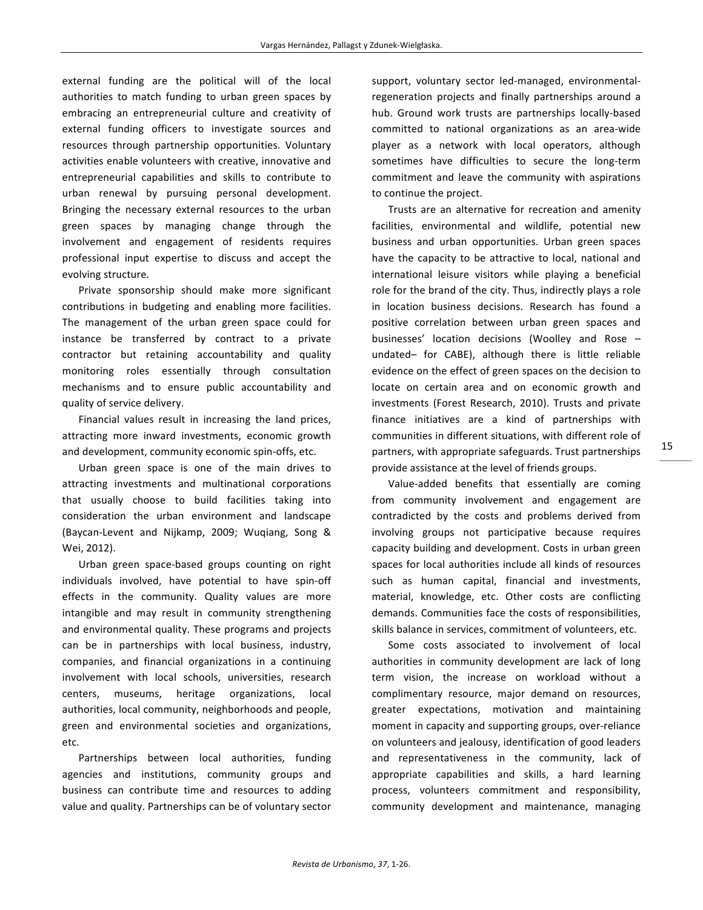external funding are the political will of the local authorities to match funding to urban green spaces by embracing an entrepreneurial culture and creativity of external funding officers to investigate sources and resources through partnership opportunities. Voluntary activities enable volunteers with creative, innovative and entrepreneurial capabilities and skills to contribute to urban renewal by pursuing personal development. Bringing the necessary external resources to the urban green spaces by managing change through the involvement and engagement of residents requires professional input expertise to discuss and accept the evolving structure.

Private sponsorship should make more significant contributions in budgeting and enabling more facilities. The management of the urban green space could for instance be transferred by contract to a private contractor but retaining accountability and quality monitoring roles essentially through consultation mechanisms and to ensure public accountability and quality of service delivery.

Financial values result in increasing the land prices, attracting more inward investments, economic growth and development, community economic spin-offs, etc.

Urban green space is one of the main drives to attracting investments and multinational corporations that usually choose to build facilities taking into consideration the urban environment and landscape (Baycan-Levent and Nijkamp, 2009; Wuqiang, Song & Wei, 2012).

Urban green space-based groups counting on right individuals involved, have potential to have spin-off effects in the community. Quality values are more intangible and may result in community strengthening and environmental quality. These programs and projects can be in partnerships with local business, industry, companies, and financial organizations in a continuing involvement with local schools, universities, research centers, museums, heritage organizations, local authorities, local community, neighborhoods and people, green and environmental societies and organizations, etc. 

Partnerships between local authorities, funding agencies and institutions, community groups and business can contribute time and resources to adding value and quality. Partnerships can be of voluntary sector support, voluntary sector led-managed, environmentalregeneration projects and finally partnerships around a hub. Ground work trusts are partnerships locally-based committed to national organizations as an area-wide player as a network with local operators, although sometimes have difficulties to secure the long-term commitment and leave the community with aspirations to continue the project.

Trusts are an alternative for recreation and amenity facilities, environmental and wildlife, potential new business and urban opportunities. Urban green spaces have the capacity to be attractive to local, national and international leisure visitors while playing a beneficial role for the brand of the city. Thus, indirectly plays a role in location business decisions. Research has found a positive correlation between urban green spaces and businesses' location decisions (Woolley and Rose undated- for CABE), although there is little reliable evidence on the effect of green spaces on the decision to locate on certain area and on economic growth and investments (Forest Research, 2010). Trusts and private finance initiatives are a kind of partnerships with communities in different situations, with different role of partners, with appropriate safeguards. Trust partnerships provide assistance at the level of friends groups.

Value-added benefits that essentially are coming from community involvement and engagement are contradicted by the costs and problems derived from involving groups not participative because requires capacity building and development. Costs in urban green spaces for local authorities include all kinds of resources such as human capital, financial and investments, material, knowledge, etc. Other costs are conflicting demands. Communities face the costs of responsibilities, skills balance in services, commitment of volunteers, etc.

Some costs associated to involvement of local authorities in community development are lack of long term vision, the increase on workload without a complimentary resource, major demand on resources, greater expectations, motivation and maintaining moment in capacity and supporting groups, over-reliance on volunteers and jealousy, identification of good leaders and representativeness in the community, lack of appropriate capabilities and skills, a hard learning process, volunteers commitment and responsibility, community development and maintenance, managing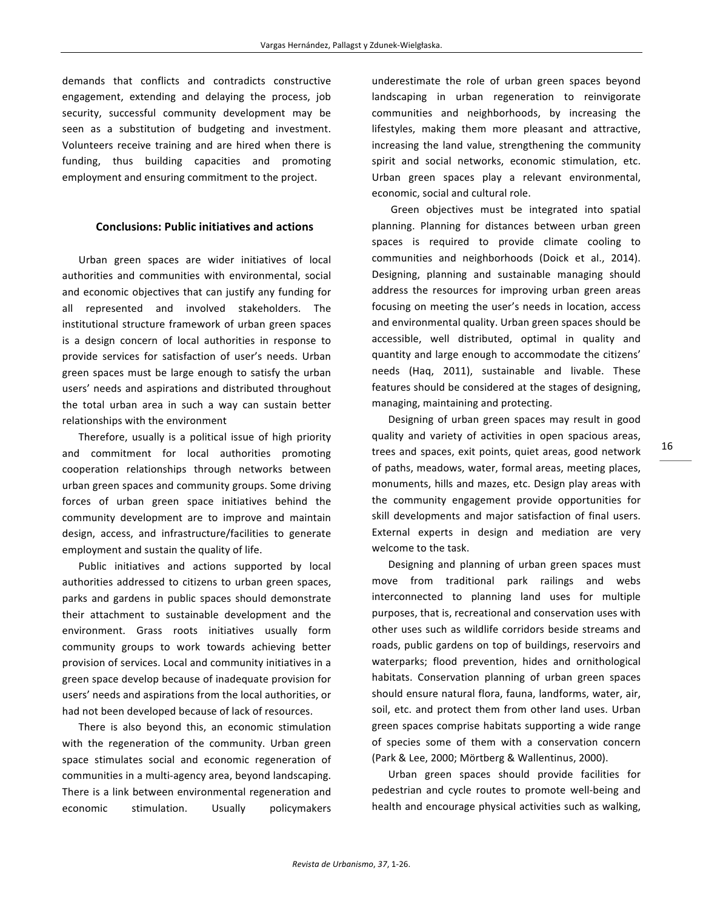demands that conflicts and contradicts constructive engagement, extending and delaying the process, job security, successful community development may be seen as a substitution of budgeting and investment. Volunteers receive training and are hired when there is funding, thus building capacities and promoting employment and ensuring commitment to the project.

## **Conclusions: Public initiatives and actions**

Urban green spaces are wider initiatives of local authorities and communities with environmental, social and economic objectives that can justify any funding for all represented and involved stakeholders. The institutional structure framework of urban green spaces is a design concern of local authorities in response to provide services for satisfaction of user's needs. Urban green spaces must be large enough to satisfy the urban users' needs and aspirations and distributed throughout the total urban area in such a way can sustain better relationships with the environment

Therefore, usually is a political issue of high priority and commitment for local authorities promoting cooperation relationships through networks between urban green spaces and community groups. Some driving forces of urban green space initiatives behind the community development are to improve and maintain design, access, and infrastructure/facilities to generate employment and sustain the quality of life.

Public initiatives and actions supported by local authorities addressed to citizens to urban green spaces, parks and gardens in public spaces should demonstrate their attachment to sustainable development and the environment. Grass roots initiatives usually form community groups to work towards achieving better provision of services. Local and community initiatives in a green space develop because of inadequate provision for users' needs and aspirations from the local authorities, or had not been developed because of lack of resources.

There is also beyond this, an economic stimulation with the regeneration of the community. Urban green space stimulates social and economic regeneration of communities in a multi-agency area, beyond landscaping. There is a link between environmental regeneration and economic stimulation. Usually policymakers

underestimate the role of urban green spaces beyond landscaping in urban regeneration to reinvigorate communities and neighborhoods, by increasing the lifestyles, making them more pleasant and attractive, increasing the land value, strengthening the community spirit and social networks, economic stimulation, etc. Urban green spaces play a relevant environmental, economic, social and cultural role.

Green objectives must be integrated into spatial planning. Planning for distances between urban green spaces is required to provide climate cooling to communities and neighborhoods (Doick et al., 2014). Designing, planning and sustainable managing should address the resources for improving urban green areas focusing on meeting the user's needs in location, access and environmental quality. Urban green spaces should be accessible, well distributed, optimal in quality and quantity and large enough to accommodate the citizens' needs (Haq, 2011), sustainable and livable. These features should be considered at the stages of designing, managing, maintaining and protecting.

Designing of urban green spaces may result in good quality and variety of activities in open spacious areas, trees and spaces, exit points, quiet areas, good network of paths, meadows, water, formal areas, meeting places, monuments, hills and mazes, etc. Design play areas with the community engagement provide opportunities for skill developments and major satisfaction of final users. External experts in design and mediation are very welcome to the task.

Designing and planning of urban green spaces must move from traditional park railings and webs interconnected to planning land uses for multiple purposes, that is, recreational and conservation uses with other uses such as wildlife corridors beside streams and roads, public gardens on top of buildings, reservoirs and waterparks; flood prevention, hides and ornithological habitats. Conservation planning of urban green spaces should ensure natural flora, fauna, landforms, water, air, soil, etc. and protect them from other land uses. Urban green spaces comprise habitats supporting a wide range of species some of them with a conservation concern (Park & Lee, 2000; Mörtberg & Wallentinus, 2000).

Urban green spaces should provide facilities for pedestrian and cycle routes to promote well-being and health and encourage physical activities such as walking,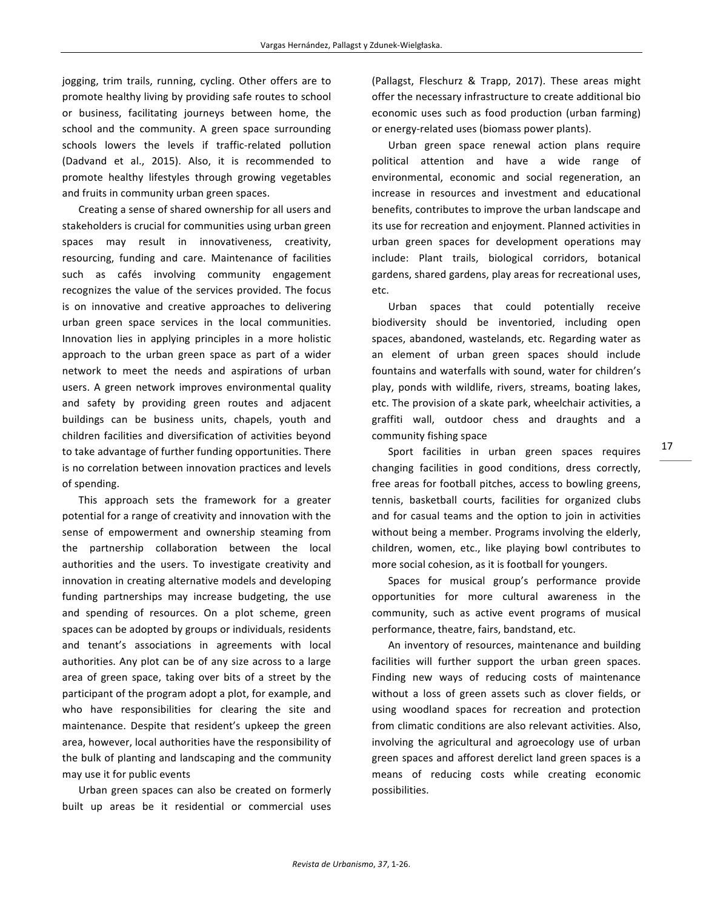jogging, trim trails, running, cycling. Other offers are to promote healthy living by providing safe routes to school or business, facilitating journeys between home, the school and the community. A green space surrounding schools lowers the levels if traffic-related pollution (Dadvand et al., 2015). Also, it is recommended to promote healthy lifestyles through growing vegetables and fruits in community urban green spaces.

Creating a sense of shared ownership for all users and stakeholders is crucial for communities using urban green spaces may result in innovativeness, creativity, resourcing, funding and care. Maintenance of facilities such as cafés involving community engagement recognizes the value of the services provided. The focus is on innovative and creative approaches to delivering urban green space services in the local communities. Innovation lies in applying principles in a more holistic approach to the urban green space as part of a wider network to meet the needs and aspirations of urban users. A green network improves environmental quality and safety by providing green routes and adjacent buildings can be business units, chapels, youth and children facilities and diversification of activities beyond to take advantage of further funding opportunities. There is no correlation between innovation practices and levels of spending.

This approach sets the framework for a greater potential for a range of creativity and innovation with the sense of empowerment and ownership steaming from the partnership collaboration between the local authorities and the users. To investigate creativity and innovation in creating alternative models and developing funding partnerships may increase budgeting, the use and spending of resources. On a plot scheme, green spaces can be adopted by groups or individuals, residents and tenant's associations in agreements with local authorities. Any plot can be of any size across to a large area of green space, taking over bits of a street by the participant of the program adopt a plot, for example, and who have responsibilities for clearing the site and maintenance. Despite that resident's upkeep the green area, however, local authorities have the responsibility of the bulk of planting and landscaping and the community may use it for public events

Urban green spaces can also be created on formerly built up areas be it residential or commercial uses (Pallagst, Fleschurz & Trapp, 2017). These areas might offer the necessary infrastructure to create additional bio economic uses such as food production (urban farming) or energy-related uses (biomass power plants).

Urban green space renewal action plans require political attention and have a wide range of environmental, economic and social regeneration, an increase in resources and investment and educational benefits, contributes to improve the urban landscape and its use for recreation and enjoyment. Planned activities in urban green spaces for development operations may include: Plant trails, biological corridors, botanical gardens, shared gardens, play areas for recreational uses, etc. 

Urban spaces that could potentially receive biodiversity should be inventoried, including open spaces, abandoned, wastelands, etc. Regarding water as an element of urban green spaces should include fountains and waterfalls with sound, water for children's play, ponds with wildlife, rivers, streams, boating lakes, etc. The provision of a skate park, wheelchair activities, a graffiti wall, outdoor chess and draughts and a community fishing space

Sport facilities in urban green spaces requires changing facilities in good conditions, dress correctly, free areas for football pitches, access to bowling greens, tennis, basketball courts, facilities for organized clubs and for casual teams and the option to join in activities without being a member. Programs involving the elderly, children, women, etc., like playing bowl contributes to more social cohesion, as it is football for youngers.

Spaces for musical group's performance provide opportunities for more cultural awareness in the community, such as active event programs of musical performance, theatre, fairs, bandstand, etc.

An inventory of resources, maintenance and building facilities will further support the urban green spaces. Finding new ways of reducing costs of maintenance without a loss of green assets such as clover fields, or using woodland spaces for recreation and protection from climatic conditions are also relevant activities. Also, involving the agricultural and agroecology use of urban green spaces and afforest derelict land green spaces is a means of reducing costs while creating economic possibilities.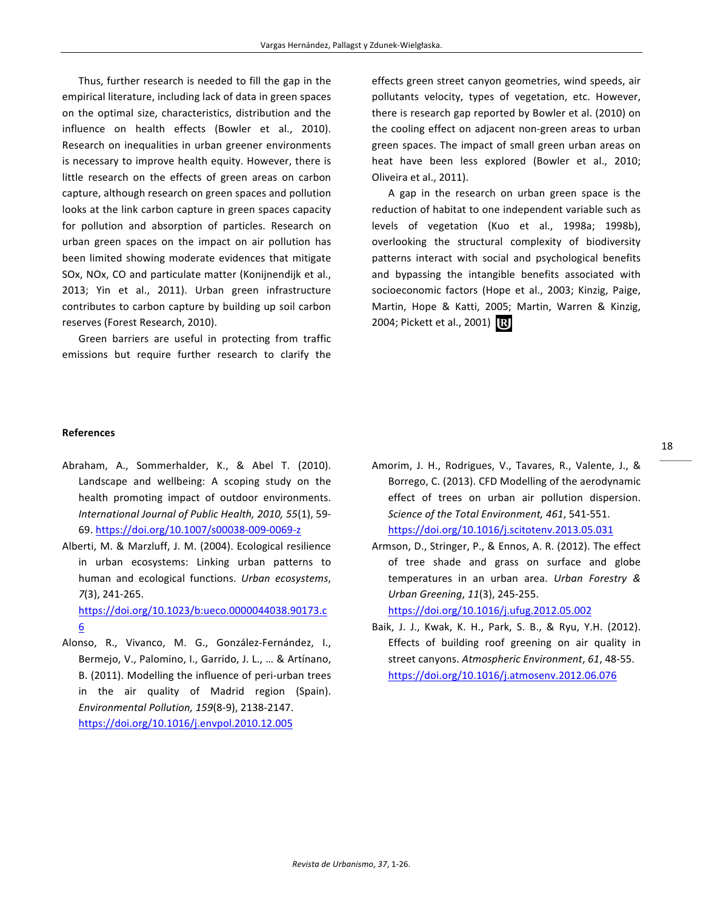Thus, further research is needed to fill the gap in the empirical literature, including lack of data in green spaces on the optimal size, characteristics, distribution and the influence on health effects (Bowler et al., 2010). Research on inequalities in urban greener environments is necessary to improve health equity. However, there is little research on the effects of green areas on carbon capture, although research on green spaces and pollution looks at the link carbon capture in green spaces capacity for pollution and absorption of particles. Research on urban green spaces on the impact on air pollution has been limited showing moderate evidences that mitigate SOx, NOx, CO and particulate matter (Konijnendijk et al., 2013; Yin et al., 2011). Urban green infrastructure contributes to carbon capture by building up soil carbon reserves (Forest Research, 2010).

Green barriers are useful in protecting from traffic emissions but require further research to clarify the

effects green street canyon geometries, wind speeds, air pollutants velocity, types of vegetation, etc. However, there is research gap reported by Bowler et al. (2010) on the cooling effect on adjacent non-green areas to urban green spaces. The impact of small green urban areas on heat have been less explored (Bowler et al., 2010; Oliveira et al., 2011).

A gap in the research on urban green space is the reduction of habitat to one independent variable such as levels of vegetation (Kuo et al., 1998a; 1998b), overlooking the structural complexity of biodiversity patterns interact with social and psychological benefits and bypassing the intangible benefits associated with socioeconomic factors (Hope et al., 2003; Kinzig, Paige, Martin, Hope & Katti, 2005; Martin, Warren & Kinzig, 2004; Pickett et al., 2001) [B]

#### **References**

- Abraham, A., Sommerhalder, K., & Abel T. (2010). Landscape and wellbeing: A scoping study on the health promoting impact of outdoor environments. *International Journal of Public Health, 2010, 55*(1), 59- 69. https://doi.org/10.1007/s00038-009-0069-z
- Alberti, M. & Marzluff, J. M. (2004). Ecological resilience in urban ecosystems: Linking urban patterns to human and ecological functions. *Urban ecosystems*, *7*(3), 241-265.

https://doi.org/10.1023/b:ueco.0000044038.90173.c 6

Alonso, R., Vivanco, M. G., González-Fernández, I., Bermejo, V., Palomino, I., Garrido, J. L., ... & Artínano, B. (2011). Modelling the influence of peri-urban trees in the air quality of Madrid region (Spain). *Environmental Pollution, 159*(8-9), 2138-2147. https://doi.org/10.1016/j.envpol.2010.12.005

- Amorim, J. H., Rodrigues, V., Tavares, R., Valente, J., & Borrego, C. (2013). CFD Modelling of the aerodynamic effect of trees on urban air pollution dispersion. *Science of the Total Environment, 461, 541-551.* https://doi.org/10.1016/j.scitotenv.2013.05.031
- Armson, D., Stringer, P., & Ennos, A. R. (2012). The effect of tree shade and grass on surface and globe temperatures in an urban area. *Urban Forestry & Urban Greening*, *11*(3), 245-255.

https://doi.org/10.1016/j.ufug.2012.05.002

Baik, J. J., Kwak, K. H., Park, S. B., & Ryu, Y.H. (2012). Effects of building roof greening on air quality in street canyons. Atmospheric Environment, 61, 48-55. https://doi.org/10.1016/j.atmosenv.2012.06.076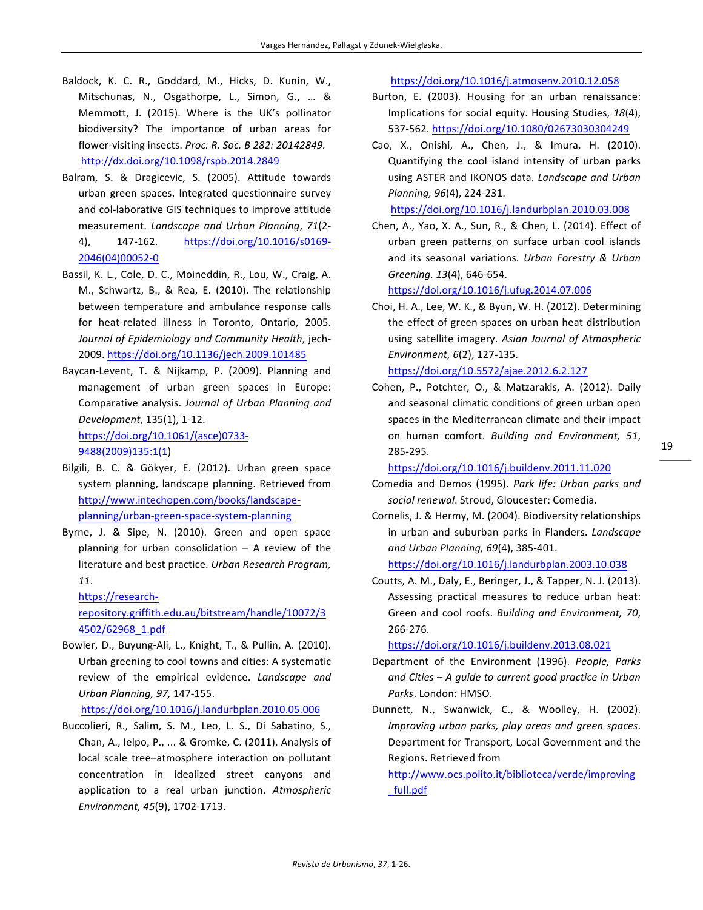- Baldock, K. C. R., Goddard, M., Hicks, D. Kunin, W., Mitschunas, N., Osgathorpe, L., Simon, G., ... & Memmott, J. (2015). Where is the UK's pollinator biodiversity? The importance of urban areas for flower-visiting insects. Proc. R. Soc. B 282: 20142849. http://dx.doi.org/10.1098/rspb.2014.2849
- Balram, S. & Dragicevic, S. (2005). Attitude towards urban green spaces. Integrated questionnaire survey and col-laborative GIS techniques to improve attitude measurement. *Landscape and Urban Planning*, *71*(2- 4), 147-162. https://doi.org/10.1016/s0169- 2046(04)00052-0
- Bassil, K. L., Cole, D. C., Moineddin, R., Lou, W., Craig, A. M., Schwartz, B., & Rea, E. (2010). The relationship between temperature and ambulance response calls for heat-related illness in Toronto, Ontario, 2005. *Journal of Epidemiology and Community Health*, jech-2009. https://doi.org/10.1136/jech.2009.101485
- Baycan-Levent, T. & Nijkamp, P. (2009). Planning and management of urban green spaces in Europe: Comparative analysis. Journal of Urban Planning and *Development*, 135(1), 1-12. https://doi.org/10.1061/(asce)0733- 9488(2009)135:1(1)
- Bilgili, B. C. & Gökyer, E. (2012). Urban green space system planning, landscape planning. Retrieved from http://www.intechopen.com/books/landscapeplanning/urban-green-space-system-planning
- Byrne, J. & Sipe, N. (2010). Green and open space planning for urban consolidation  $-$  A review of the literature and best practice. Urban Research Program, *11*.

https://research-

repository.griffith.edu.au/bitstream/handle/10072/3 4502/62968\_1.pdf

Bowler, D., Buyung-Ali, L., Knight, T., & Pullin, A. (2010). Urban greening to cool towns and cities: A systematic review of the empirical evidence. Landscape and *Urban Planning, 97,* 147-155.

https://doi.org/10.1016/j.landurbplan.2010.05.006

Buccolieri, R., Salim, S. M., Leo, L. S., Di Sabatino, S., Chan, A., Ielpo, P., ... & Gromke, C. (2011). Analysis of local scale tree-atmosphere interaction on pollutant concentration in idealized street canyons and application to a real urban junction. Atmospheric *Environment, 45*(9), 1702-1713.

https://doi.org/10.1016/j.atmosenv.2010.12.058

- Burton, E. (2003). Housing for an urban renaissance: Implications for social equity. Housing Studies, 18(4), 537-562. https://doi.org/10.1080/02673030304249
- Cao, X., Onishi, A., Chen, J., & Imura, H. (2010). Quantifying the cool island intensity of urban parks using ASTER and IKONOS data. Landscape and Urban *Planning, 96*(4), 224-231.

https://doi.org/10.1016/j.landurbplan.2010.03.008

Chen, A., Yao, X. A., Sun, R., & Chen, L. (2014). Effect of urban green patterns on surface urban cool islands and its seasonal variations. *Urban Forestry & Urban Greening. 13*(4), 646-654.

https://doi.org/10.1016/j.ufug.2014.07.006

Choi, H. A., Lee, W. K., & Byun, W. H. (2012). Determining the effect of green spaces on urban heat distribution using satellite imagery. Asian Journal of Atmospheric *Environment, 6*(2), 127-135.

https://doi.org/10.5572/ajae.2012.6.2.127

Cohen, P., Potchter, O., & Matzarakis, A. (2012). Daily and seasonal climatic conditions of green urban open spaces in the Mediterranean climate and their impact on human comfort. *Building and Environment, 51*, 285-295. 

https://doi.org/10.1016/j.buildenv.2011.11.020

- Comedia and Demos (1995). Park life: Urban parks and social renewal. Stroud, Gloucester: Comedia.
- Cornelis, J. & Hermy, M. (2004). Biodiversity relationships in urban and suburban parks in Flanders. Landscape *and Urban Planning, 69*(4), 385-401.

## https://doi.org/10.1016/j.landurbplan.2003.10.038

Coutts, A. M., Daly, E., Beringer, J., & Tapper, N. J. (2013). Assessing practical measures to reduce urban heat: Green and cool roofs. *Building and Environment, 70*, 266-276. 

https://doi.org/10.1016/j.buildenv.2013.08.021

- Department of the Environment (1996). People, Parks and Cities – A guide to current good practice in Urban *Parks*. London: HMSO.
- Dunnett, N., Swanwick, C., & Woolley, H. (2002). *Improving urban parks, play areas and green spaces*. Department for Transport, Local Government and the Regions. Retrieved from

http://www.ocs.polito.it/biblioteca/verde/improving \_full.pdf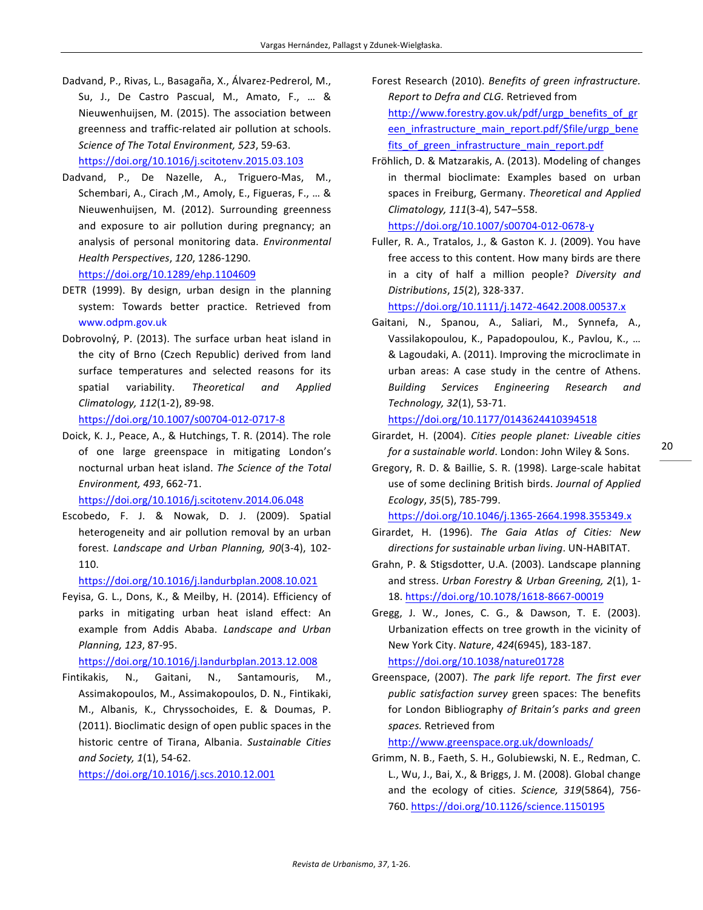- Dadvand, P., Rivas, L., Basagaña, X., Álvarez-Pedrerol, M., Su, J., De Castro Pascual, M., Amato, F., ... & Nieuwenhuijsen, M. (2015). The association between greenness and traffic-related air pollution at schools. *Science of The Total Environment, 523*, 59-63. https://doi.org/10.1016/j.scitotenv.2015.03.103
- Dadvand, P., De Nazelle, A., Triguero-Mas, M., Schembari, A., Cirach, M., Amoly, E., Figueras, F., ... & Nieuwenhuijsen, M. (2012). Surrounding greenness and exposure to air pollution during pregnancy; an

*Health Perspectives*, *120*, 1286-1290. https://doi.org/10.1289/ehp.1104609

DETR (1999). By design, urban design in the planning system: Towards better practice. Retrieved from www.odpm.gov.uk

analysis of personal monitoring data. *Environmental* 

Dobrovolný, P. (2013). The surface urban heat island in the city of Brno (Czech Republic) derived from land surface temperatures and selected reasons for its spatial variability. *Theoretical and Applied Climatology, 112*(1-2), 89-98. 

https://doi.org/10.1007/s00704-012-0717-8

Doick, K. J., Peace, A., & Hutchings, T. R. (2014). The role of one large greenspace in mitigating London's nocturnal urban heat island. The Science of the Total *Environment, 493*, 662-71.

https://doi.org/10.1016/j.scitotenv.2014.06.048

Escobedo, F. J. & Nowak, D. J. (2009). Spatial heterogeneity and air pollution removal by an urban forest. Landscape and Urban Planning, 90(3-4), 102-110.

https://doi.org/10.1016/j.landurbplan.2008.10.021

Feyisa, G. L., Dons, K., & Meilby, H. (2014). Efficiency of parks in mitigating urban heat island effect: An example from Addis Ababa. Landscape and Urban *Planning, 123*, 87-95. 

https://doi.org/10.1016/j.landurbplan.2013.12.008

Fintikakis, N., Gaitani, N., Santamouris, M., Assimakopoulos, M., Assimakopoulos, D. N., Fintikaki, M., Albanis, K., Chryssochoides, E. & Doumas, P. (2011). Bioclimatic design of open public spaces in the historic centre of Tirana, Albania. Sustainable Cities *and Society, 1*(1), 54-62.

https://doi.org/10.1016/j.scs.2010.12.001

- Forest Research (2010). Benefits of green infrastructure. *Report to Defra and CLG.* Retrieved from http://www.forestry.gov.uk/pdf/urgp\_benefits\_of\_gr een infrastructure main report.pdf/\$file/urgp\_bene fits of green infrastructure main report.pdf
- Fröhlich, D. & Matzarakis, A. (2013). Modeling of changes in thermal bioclimate: Examples based on urban spaces in Freiburg, Germany. Theoretical and Applied *Climatology, 111*(3-4), 547–558. https://doi.org/10.1007/s00704-012-0678-y
- Fuller, R. A., Tratalos, J., & Gaston K. J. (2009). You have free access to this content. How many birds are there in a city of half a million people? Diversity and *Distributions*, *15*(2), 328-337.

https://doi.org/10.1111/j.1472-4642.2008.00537.x

Gaitani, N., Spanou, A., Saliari, M., Synnefa, A., Vassilakopoulou, K., Papadopoulou, K., Pavlou, K., ... & Lagoudaki, A. (2011). Improving the microclimate in urban areas: A case study in the centre of Athens. *Building Services Engineering Research and Technology, 32*(1), 53-71.

https://doi.org/10.1177/0143624410394518

- Girardet, H. (2004). *Cities people planet: Liveable cities for a sustainable world*. London: John Wiley & Sons.
- Gregory, R. D. & Baillie, S. R. (1998). Large-scale habitat use of some declining British birds. *Journal of Applied Ecology*, *35*(5), 785-799.

https://doi.org/10.1046/j.1365-2664.1998.355349.x

- Girardet, H. (1996). The Gaia Atlas of Cities: New directions for sustainable urban living. UN-HABITAT.
- Grahn, P. & Stigsdotter, U.A. (2003). Landscape planning and stress. *Urban Forestry & Urban Greening, 2(1), 1-*18. https://doi.org/10.1078/1618-8667-00019
- Gregg, J. W., Jones, C. G., & Dawson, T. E. (2003). Urbanization effects on tree growth in the vicinity of New York City. *Nature*, *424*(6945), 183-187. https://doi.org/10.1038/nature01728
- Greenspace, (2007). The park life report. The first ever public satisfaction survey green spaces: The benefits for London Bibliography of Britain's parks and green *spaces.* Retrieved from

http://www.greenspace.org.uk/downloads/

Grimm, N. B., Faeth, S. H., Golubiewski, N. E., Redman, C. L., Wu, J., Bai, X., & Briggs, J. M. (2008). Global change and the ecology of cities. Science, 319(5864), 756-760. https://doi.org/10.1126/science.1150195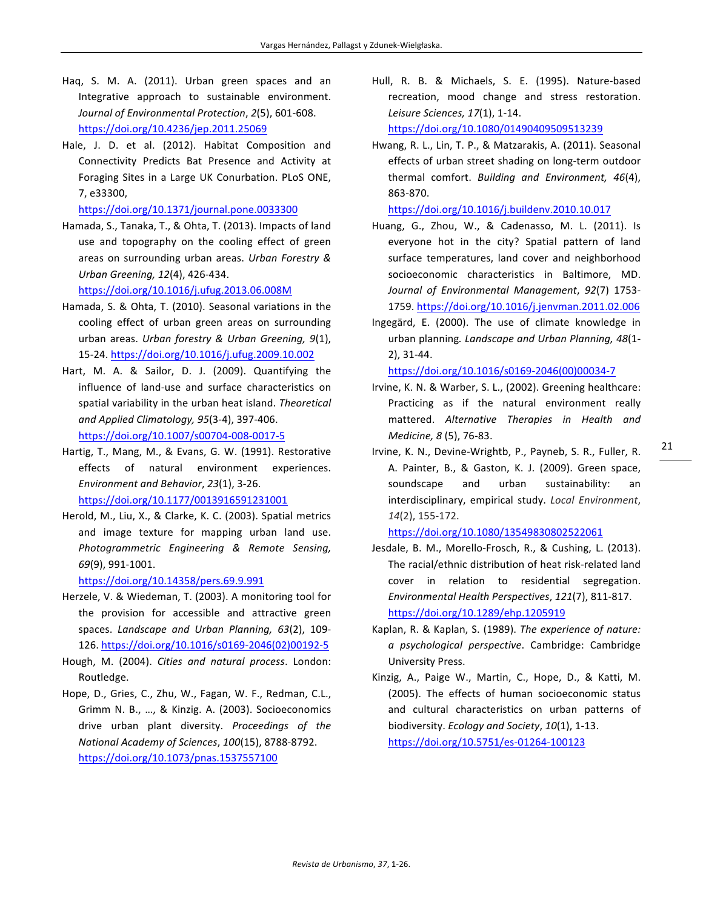- Haq, S. M. A. (2011). Urban green spaces and an Integrative approach to sustainable environment. *Journal of Environmental Protection*, *2*(5), 601-608. https://doi.org/10.4236/jep.2011.25069
- Hale, J. D. et al. (2012). Habitat Composition and Connectivity Predicts Bat Presence and Activity at Foraging Sites in a Large UK Conurbation. PLoS ONE, 7, e33300,

https://doi.org/10.1371/journal.pone.0033300

Hamada, S., Tanaka, T., & Ohta, T. (2013). Impacts of land use and topography on the cooling effect of green areas on surrounding urban areas. Urban Forestry & *Urban Greening, 12*(4), 426-434. 

https://doi.org/10.1016/j.ufug.2013.06.008M

- Hamada, S. & Ohta, T. (2010). Seasonal variations in the cooling effect of urban green areas on surrounding urban areas. *Urban forestry & Urban Greening, 9(1)*, 15-24. https://doi.org/10.1016/j.ufug.2009.10.002
- Hart, M. A. & Sailor, D. J. (2009). Quantifying the influence of land-use and surface characteristics on spatial variability in the urban heat island. *Theoretical and Applied Climatology, 95*(3-4), 397-406. https://doi.org/10.1007/s00704-008-0017-5
- Hartig, T., Mang, M., & Evans, G. W. (1991). Restorative effects of natural environment experiences. *Environment and Behavior, 23(1), 3-26.* https://doi.org/10.1177/0013916591231001
- Herold, M., Liu, X., & Clarke, K. C. (2003). Spatial metrics and image texture for mapping urban land use. *Photogrammetric Engineering & Remote Sensing, 69*(9), 991-1001.

https://doi.org/10.14358/pers.69.9.991

- Herzele, V. & Wiedeman, T. (2003). A monitoring tool for the provision for accessible and attractive green spaces. *Landscape and Urban Planning, 63*(2), 109-126. https://doi.org/10.1016/s0169-2046(02)00192-5
- Hough, M. (2004). *Cities and natural process*. London: Routledge.
- Hope, D., Gries, C., Zhu, W., Fagan, W. F., Redman, C.L., Grimm N. B., ..., & Kinzig. A. (2003). Socioeconomics drive urban plant diversity. Proceedings of the *National Academy of Sciences*, *100*(15), 8788-8792. https://doi.org/10.1073/pnas.1537557100

Hull, R. B. & Michaels, S. E. (1995). Nature-based recreation, mood change and stress restoration. *Leisure Sciences, 17*(1), 1-14. 

https://doi.org/10.1080/01490409509513239

Hwang, R. L., Lin, T. P., & Matzarakis, A. (2011). Seasonal effects of urban street shading on long-term outdoor thermal comfort. *Building and Environment, 46*(4), 863-870. 

https://doi.org/10.1016/j.buildenv.2010.10.017

- Huang, G., Zhou, W., & Cadenasso, M. L. (2011). Is everyone hot in the city? Spatial pattern of land surface temperatures, land cover and neighborhood socioeconomic characteristics in Baltimore, MD. *Journal of Environmental Management*, *92*(7) 1753- 1759. https://doi.org/10.1016/j.jenvman.2011.02.006
- Ingegärd, E. (2000). The use of climate knowledge in urban planning. Landscape and Urban Planning, 48(1-2), 31-44.

https://doi.org/10.1016/s0169-2046(00)00034-7

- Irvine, K. N. & Warber, S. L., (2002). Greening healthcare: Practicing as if the natural environment really mattered. *Alternative Therapies in Health and Medicine, 8* (5), 76-83.
- Irvine, K. N., Devine-Wrightb, P., Payneb, S. R., Fuller, R. A. Painter, B., & Gaston, K. J. (2009). Green space, soundscape and urban sustainability: an interdisciplinary, empirical study. *Local Environment*, *14*(2), 155-172.

https://doi.org/10.1080/13549830802522061

- Jesdale, B. M., Morello-Frosch, R., & Cushing, L. (2013). The racial/ethnic distribution of heat risk-related land cover in relation to residential segregation. *Environmental Health Perspectives*, *121*(7), 811-817. https://doi.org/10.1289/ehp.1205919
- Kaplan, R. & Kaplan, S. (1989). The experience of nature: *a psychological perspective*. Cambridge: Cambridge University Press.
- Kinzig, A., Paige W., Martin, C., Hope, D., & Katti, M. (2005). The effects of human socioeconomic status and cultural characteristics on urban patterns of biodiversity. *Ecology and Society*, *10*(1), 1-13. https://doi.org/10.5751/es-01264-100123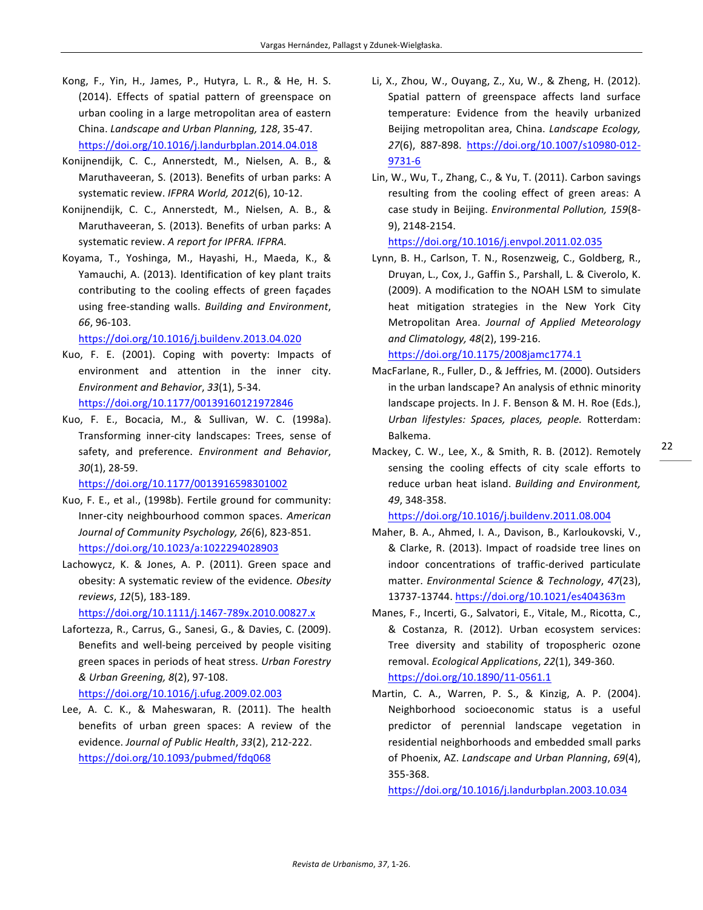- Kong, F., Yin, H., James, P., Hutyra, L. R., & He, H. S. (2014). Effects of spatial pattern of greenspace on urban cooling in a large metropolitan area of eastern China. *Landscape and Urban Planning, 128, 35-47.* https://doi.org/10.1016/j.landurbplan.2014.04.018
- Konijnendijk, C. C., Annerstedt, M., Nielsen, A. B., & Maruthaveeran, S. (2013). Benefits of urban parks: A systematic review. IFPRA World, 2012(6), 10-12.
- Konijnendijk, C. C., Annerstedt, M., Nielsen, A. B., & Maruthaveeran, S. (2013). Benefits of urban parks: A systematic review. A report for IPFRA. IFPRA.
- Koyama, T., Yoshinga, M., Hayashi, H., Maeda, K., & Yamauchi, A. (2013). Identification of key plant traits contributing to the cooling effects of green façades using free-standing walls. Building and Environment, *66*, 96-103.

### https://doi.org/10.1016/j.buildenv.2013.04.020

- Kuo, F. E. (2001). Coping with poverty: Impacts of environment and attention in the inner city. *Environment and Behavior*, *33*(1), 5-34. https://doi.org/10.1177/00139160121972846
- Kuo, F. E., Bocacia, M., & Sullivan, W. C. (1998a). Transforming inner-city landscapes: Trees, sense of safety, and preference. *Environment and Behavior*, *30*(1), 28-59.

https://doi.org/10.1177/0013916598301002

- Kuo, F. E., et al., (1998b). Fertile ground for community: Inner-city neighbourhood common spaces. American Journal of Community Psychology, 26(6), 823-851. https://doi.org/10.1023/a:1022294028903
- Lachowycz, K. & Jones, A. P. (2011). Green space and obesity: A systematic review of the evidence. Obesity *reviews*, *12*(5), 183-189.

https://doi.org/10.1111/j.1467-789x.2010.00827.x

Lafortezza, R., Carrus, G., Sanesi, G., & Davies, C. (2009). Benefits and well-being perceived by people visiting green spaces in periods of heat stress. *Urban Forestry & Urban Greening, 8*(2), 97-108. 

https://doi.org/10.1016/j.ufug.2009.02.003

Lee, A. C. K., & Maheswaran, R. (2011). The health benefits of urban green spaces: A review of the evidence. *Journal of Public Health*, *33*(2), 212-222. https://doi.org/10.1093/pubmed/fdq068

- Li, X., Zhou, W., Ouyang, Z., Xu, W., & Zheng, H. (2012). Spatial pattern of greenspace affects land surface temperature: Evidence from the heavily urbanized Beijing metropolitan area, China. *Landscape Ecology*, *27*(6), 887-898. https://doi.org/10.1007/s10980-012- 9731-6
- Lin, W., Wu, T., Zhang, C., & Yu, T. (2011). Carbon savings resulting from the cooling effect of green areas: A case study in Beijing. *Environmental Pollution, 159*(8-9), 2148-2154.

https://doi.org/10.1016/j.envpol.2011.02.035

Lynn, B. H., Carlson, T. N., Rosenzweig, C., Goldberg, R., Druyan, L., Cox, J., Gaffin S., Parshall, L. & Civerolo, K. (2009). A modification to the NOAH LSM to simulate heat mitigation strategies in the New York City Metropolitan Area. *Journal of Applied Meteorology and Climatology, 48*(2), 199-216. 

https://doi.org/10.1175/2008jamc1774.1

MacFarlane, R., Fuller, D., & Jeffries, M. (2000). Outsiders in the urban landscape? An analysis of ethnic minority landscape projects. In J. F. Benson & M. H. Roe (Eds.), *Urban lifestyles: Spaces, places, people.*  Rotterdam: Balkema. 

Mackey, C. W., Lee, X., & Smith, R. B. (2012). Remotely sensing the cooling effects of city scale efforts to reduce urban heat island. *Building and Environment*, *49*, 348-358. 

https://doi.org/10.1016/j.buildenv.2011.08.004

- Maher, B. A., Ahmed, I. A., Davison, B., Karloukovski, V., & Clarke, R. (2013). Impact of roadside tree lines on indoor concentrations of traffic-derived particulate matter. *Environmental Science & Technology*, 47(23), 13737-13744. https://doi.org/10.1021/es404363m
- Manes, F., Incerti, G., Salvatori, E., Vitale, M., Ricotta, C., & Costanza, R. (2012). Urban ecosystem services: Tree diversity and stability of tropospheric ozone removal. *Ecological Applications*, *22*(1), 349-360. https://doi.org/10.1890/11-0561.1
- Martin, C. A., Warren, P. S., & Kinzig, A. P. (2004). Neighborhood socioeconomic status is a useful predictor of perennial landscape vegetation in residential neighborhoods and embedded small parks of Phoenix, AZ. Landscape and Urban Planning, 69(4), 355-368.

https://doi.org/10.1016/j.landurbplan.2003.10.034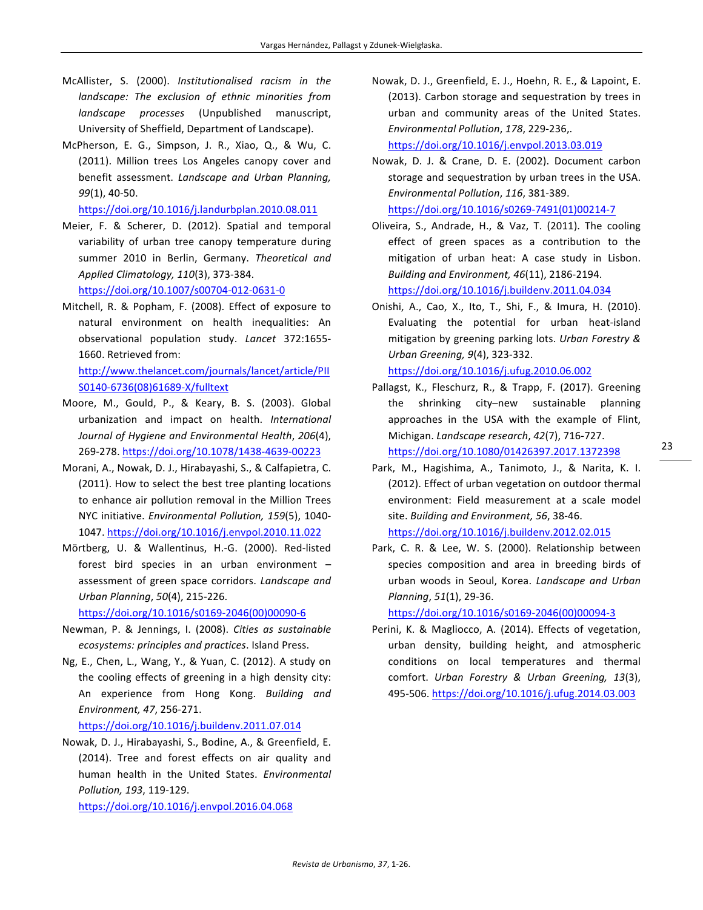- McAllister, S. (2000). Institutionalised racism in the *landscape:* The exclusion of ethnic minorities from *landscape processes*  (Unpublished manuscript, University of Sheffield, Department of Landscape).
- McPherson, E. G., Simpson, J. R., Xiao, Q., & Wu, C. (2011). Million trees Los Angeles canopy cover and benefit assessment. *Landscape and Urban Planning, 99*(1), 40-50.

https://doi.org/10.1016/j.landurbplan.2010.08.011

Meier, F. & Scherer, D. (2012). Spatial and temporal variability of urban tree canopy temperature during summer 2010 in Berlin, Germany. Theoretical and *Applied Climatology, 110*(3), 373-384. https://doi.org/10.1007/s00704-012-0631-0

Mitchell, R. & Popham, F. (2008). Effect of exposure to

natural environment on health inequalities: An observational population study. *Lancet*  372:1655- 1660. Retrieved from:

http://www.thelancet.com/journals/lancet/article/PII S0140-6736(08)61689-X/fulltext

- Moore, M., Gould, P., & Keary, B. S. (2003). Global urbanization and impact on health. *International Journal of Hygiene and Environmental Health*, *206*(4), 269-278. https://doi.org/10.1078/1438-4639-00223
- Morani, A., Nowak, D. J., Hirabayashi, S., & Calfapietra, C. (2011). How to select the best tree planting locations to enhance air pollution removal in the Million Trees NYC initiative. *Environmental Pollution, 159*(5), 1040-1047. https://doi.org/10.1016/j.envpol.2010.11.022
- Mörtberg, U. & Wallentinus, H.-G. (2000). Red-listed forest bird species in an urban environment  $$ assessment of green space corridors. Landscape and *Urban Planning*, *50*(4), 215-226.

https://doi.org/10.1016/s0169-2046(00)00090-6

- Newman, P. & Jennings, I. (2008). Cities as sustainable *ecosystems: principles and practices*. Island Press.
- Ng, E., Chen, L., Wang, Y., & Yuan, C. (2012). A study on the cooling effects of greening in a high density city: An experience from Hong Kong. Building and *Environment, 47*, 256-271.

https://doi.org/10.1016/j.buildenv.2011.07.014

Nowak, D. J., Hirabayashi, S., Bodine, A., & Greenfield, E. (2014). Tree and forest effects on air quality and human health in the United States. *Environmental Pollution, 193*, 119-129. 

https://doi.org/10.1016/j.envpol.2016.04.068

Nowak, D. J., Greenfield, E. J., Hoehn, R. E., & Lapoint, E. (2013). Carbon storage and sequestration by trees in urban and community areas of the United States. *Environmental Pollution*, *178*, 229-236,. 

https://doi.org/10.1016/j.envpol.2013.03.019

Nowak, D. J. & Crane, D. E. (2002). Document carbon storage and sequestration by urban trees in the USA. *Environmental Pollution*, *116*, 381-389. 

https://doi.org/10.1016/s0269-7491(01)00214-7

Oliveira, S., Andrade, H., & Vaz, T. (2011). The cooling effect of green spaces as a contribution to the mitigation of urban heat: A case study in Lisbon. *Building and Environment, 46*(11), 2186-2194. https://doi.org/10.1016/j.buildenv.2011.04.034

Onishi, A., Cao, X., Ito, T., Shi, F., & Imura, H. (2010). Evaluating the potential for urban heat-island mitigation by greening parking lots. Urban Forestry & *Urban Greening, 9*(4), 323-332. 

https://doi.org/10.1016/j.ufug.2010.06.002

Pallagst, K., Fleschurz, R., & Trapp, F. (2017). Greening the shrinking city–new sustainable planning approaches in the USA with the example of Flint, Michigan. *Landscape research*, *42*(7), 716-727. https://doi.org/10.1080/01426397.2017.1372398

- Park, M., Hagishima, A., Tanimoto, J., & Narita, K. I. (2012). Effect of urban vegetation on outdoor thermal environment: Field measurement at a scale model site. Building and Environment, 56, 38-46. https://doi.org/10.1016/j.buildenv.2012.02.015
- Park, C. R. & Lee, W. S. (2000). Relationship between species composition and area in breeding birds of urban woods in Seoul, Korea. Landscape and Urban *Planning*, *51*(1), 29-36.

https://doi.org/10.1016/s0169-2046(00)00094-3

Perini, K. & Magliocco, A. (2014). Effects of vegetation, urban density, building height, and atmospheric conditions on local temperatures and thermal comfort. *Urban Forestry & Urban Greening, 13*(3), 495-506. https://doi.org/10.1016/j.ufug.2014.03.003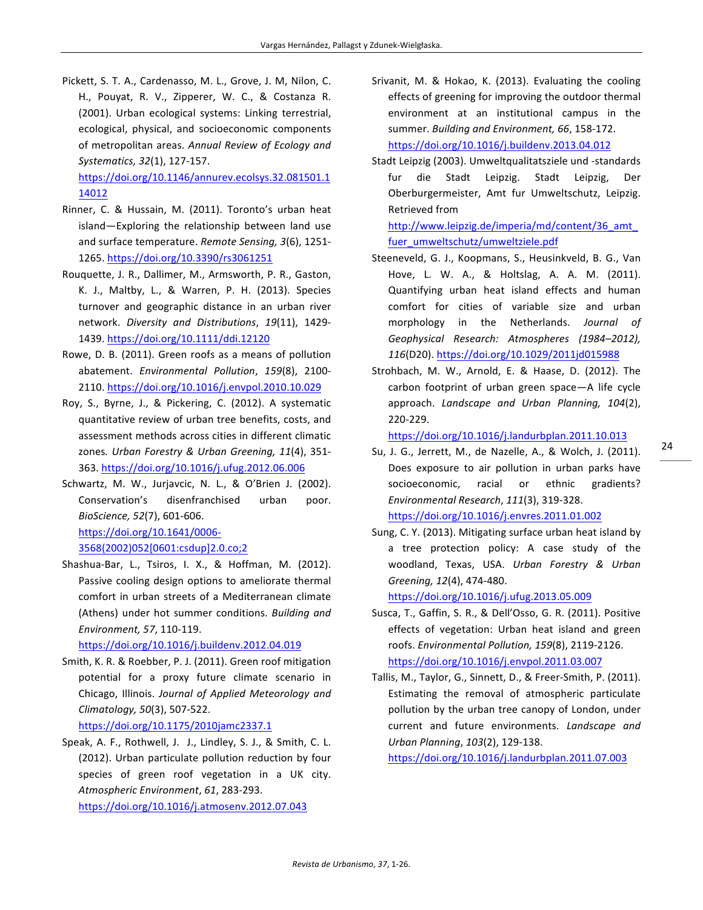Pickett, S. T. A., Cardenasso, M. L., Grove, J. M, Nilon, C. H., Pouyat, R. V., Zipperer, W. C., & Costanza R. (2001). Urban ecological systems: Linking terrestrial, ecological, physical, and socioeconomic components of metropolitan areas. Annual Review of Ecology and *Systematics, 32*(1), 127-157. 

https://doi.org/10.1146/annurev.ecolsys.32.081501.1 14012

- Rinner, C. & Hussain, M. (2011). Toronto's urban heat island-Exploring the relationship between land use and surface temperature. *Remote Sensing, 3(6)*, 1251-1265. https://doi.org/10.3390/rs3061251
- Rouquette, J. R., Dallimer, M., Armsworth, P. R., Gaston, K. J., Maltby, L., & Warren, P. H. (2013). Species turnover and geographic distance in an urban river network. *Diversity and Distributions*, *19*(11), 1429- 1439. https://doi.org/10.1111/ddi.12120
- Rowe, D. B. (2011). Green roofs as a means of pollution abatement. *Environmental Pollution*, *159*(8), 2100- 2110. https://doi.org/10.1016/j.envpol.2010.10.029
- Roy, S., Byrne, J., & Pickering, C. (2012). A systematic quantitative review of urban tree benefits, costs, and assessment methods across cities in different climatic zones. Urban Forestry & Urban Greening, 11(4), 351-363. https://doi.org/10.1016/j.ufug.2012.06.006
- Schwartz, M. W., Jurjavcic, N. L., & O'Brien J. (2002). Conservation's disenfranchised urban poor. *BioScience, 52*(7), 601-606. https://doi.org/10.1641/0006- 3568(2002)052[0601:csdup]2.0.co;2
- Shashua-Bar, L., Tsiros, I. X., & Hoffman, M. (2012). Passive cooling design options to ameliorate thermal comfort in urban streets of a Mediterranean climate (Athens) under hot summer conditions. *Building and Environment, 57*, 110-119.

https://doi.org/10.1016/j.buildenv.2012.04.019

Smith, K. R. & Roebber, P. J. (2011). Green roof mitigation potential for a proxy future climate scenario in Chicago, Illinois. Journal of Applied Meteorology and *Climatology, 50*(3), 507-522. 

https://doi.org/10.1175/2010jamc2337.1

Speak, A. F., Rothwell, J. J., Lindley, S. J., & Smith, C. L. (2012). Urban particulate pollution reduction by four species of green roof vegetation in a UK city. *Atmospheric Environment*, *61*, 283-293. 

https://doi.org/10.1016/j.atmosenv.2012.07.043

- Srivanit, M. & Hokao, K. (2013). Evaluating the cooling effects of greening for improving the outdoor thermal environment at an institutional campus in the summer. *Building and Environment, 66, 158-172.* https://doi.org/10.1016/j.buildenv.2013.04.012
- Stadt Leipzig (2003). Umweltqualitatsziele und -standards fur die Stadt Leipzig. Stadt Leipzig, Der Oberburgermeister, Amt fur Umweltschutz, Leipzig. Retrieved from

http://www.leipzig.de/imperia/md/content/36\_amt\_ fuer\_umweltschutz/umweltziele.pdf

- Steeneveld, G. J., Koopmans, S., Heusinkveld, B. G., Van Hove, L. W. A., & Holtslag, A. A. M. (2011). Quantifying urban heat island effects and human comfort for cities of variable size and urban morphology in the Netherlands. Journal of Geophysical Research: Atmospheres (1984–2012), *116*(D20). https://doi.org/10.1029/2011jd015988
- Strohbach, M. W., Arnold, E. & Haase, D. (2012). The carbon footprint of urban green space—A life cycle approach. *Landscape and Urban Planning, 104(2)*, 220-229.

https://doi.org/10.1016/j.landurbplan.2011.10.013

- Su, J. G., Jerrett, M., de Nazelle, A., & Wolch, J. (2011). Does exposure to air pollution in urban parks have socioeconomic, racial or ethnic gradients? *Environmental Research*, *111*(3), 319-328. https://doi.org/10.1016/j.envres.2011.01.002
- Sung, C. Y. (2013). Mitigating surface urban heat island by a tree protection policy: A case study of the woodland, Texas, USA. *Urban Forestry & Urban Greening, 12*(4), 474-480.

https://doi.org/10.1016/j.ufug.2013.05.009

- Susca, T., Gaffin, S. R., & Dell'Osso, G. R. (2011). Positive effects of vegetation: Urban heat island and green roofs. *Environmental Pollution, 159*(8), 2119-2126. https://doi.org/10.1016/j.envpol.2011.03.007
- Tallis, M., Taylor, G., Sinnett, D., & Freer-Smith, P. (2011). Estimating the removal of atmospheric particulate pollution by the urban tree canopy of London, under current and future environments. Landscape and *Urban Planning*, *103*(2), 129-138.

https://doi.org/10.1016/j.landurbplan.2011.07.003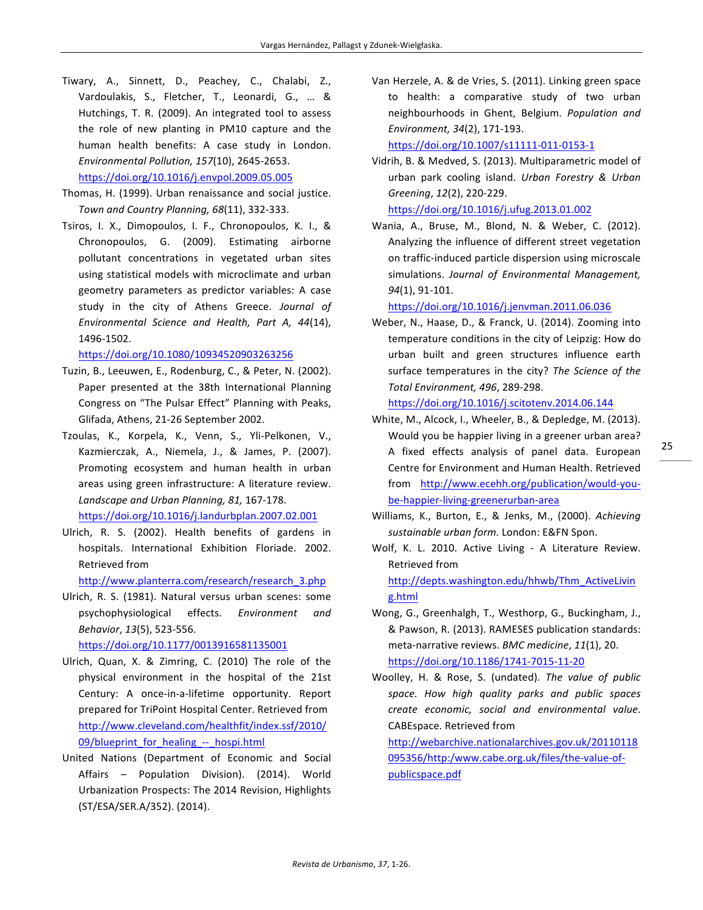Tiwary, A., Sinnett, D., Peachey, C., Chalabi, Z., Vardoulakis, S., Fletcher, T., Leonardi, G., ... & Hutchings, T. R. (2009). An integrated tool to assess the role of new planting in PM10 capture and the human health benefits: A case study in London. *Environmental Pollution, 157*(10), 2645-2653. 

https://doi.org/10.1016/j.envpol.2009.05.005

- Thomas, H. (1999). Urban renaissance and social justice. *Town and Country Planning, 68*(11), 332-333.
- Tsiros, I. X., Dimopoulos, I. F., Chronopoulos, K. I., & Chronopoulos, G. (2009). Estimating airborne pollutant concentrations in vegetated urban sites using statistical models with microclimate and urban geometry parameters as predictor variables: A case study in the city of Athens Greece. Journal of *Environmental Science and Health, Part A, 44*(14), 1496-1502.

https://doi.org/10.1080/10934520903263256

- Tuzin, B., Leeuwen, E., Rodenburg, C., & Peter, N. (2002). Paper presented at the 38th International Planning Congress on "The Pulsar Effect" Planning with Peaks, Glifada, Athens, 21-26 September 2002.
- Tzoulas, K., Korpela, K., Venn, S., Yli-Pelkonen, V., Kazmierczak, A., Niemela, J., & James, P. (2007). Promoting ecosystem and human health in urban areas using green infrastructure: A literature review. Landscape and Urban Planning, 81, 167-178. https://doi.org/10.1016/j.landurbplan.2007.02.001
- Ulrich, R. S. (2002). Health benefits of gardens in hospitals. International Exhibition Floriade. 2002. Retrieved from

http://www.planterra.com/research/research\_3.php

Ulrich, R. S. (1981). Natural versus urban scenes: some psychophysiological effects. *Environment and Behavior*, *13*(5), 523-556. 

https://doi.org/10.1177/0013916581135001

- Ulrich, Quan, X. & Zimring, C. (2010) The role of the physical environment in the hospital of the 21st Century: A once-in-a-lifetime opportunity. Report prepared for TriPoint Hospital Center. Retrieved from http://www.cleveland.com/healthfit/index.ssf/2010/ 09/blueprint\_for\_healing -- hospi.html
- United Nations (Department of Economic and Social Affairs – Population Division). (2014). World Urbanization Prospects: The 2014 Revision, Highlights (ST/ESA/SER.A/352). (2014).

Van Herzele, A. & de Vries, S. (2011). Linking green space to health: a comparative study of two urban neighbourhoods in Ghent, Belgium. *Population and Environment, 34*(2), 171-193. 

https://doi.org/10.1007/s11111-011-0153-1

Vidrih, B. & Medved, S. (2013). Multiparametric model of urban park cooling island. *Urban Forestry & Urban Greening*, *12*(2), 220-229. 

https://doi.org/10.1016/j.ufug.2013.01.002

Wania, A., Bruse, M., Blond, N. & Weber, C. (2012). Analyzing the influence of different street vegetation on traffic-induced particle dispersion using microscale simulations. Journal of Environmental Management, *94*(1), 91-101. 

https://doi.org/10.1016/j.jenvman.2011.06.036

Weber, N., Haase, D., & Franck, U. (2014). Zooming into temperature conditions in the city of Leipzig: How do urban built and green structures influence earth surface temperatures in the city? The Science of the *Total Environment, 496*, 289-298. 

https://doi.org/10.1016/j.scitotenv.2014.06.144

- White, M., Alcock, I., Wheeler, B., & Depledge, M. (2013). Would you be happier living in a greener urban area? A fixed effects analysis of panel data. European Centre for Environment and Human Health. Retrieved from http://www.ecehh.org/publication/would-yoube-happier-living-greenerurban-area
	-

25

- Williams, K., Burton, E., & Jenks, M., (2000). Achieving sustainable urban form. London: E&FN Spon.
- Wolf, K. L. 2010. Active Living A Literature Review. Retrieved from

http://depts.washington.edu/hhwb/Thm\_ActiveLivin g.html

- Wong, G., Greenhalgh, T., Westhorp, G., Buckingham, J., & Pawson, R. (2013). RAMESES publication standards: meta-narrative reviews. BMC medicine, 11(1), 20. https://doi.org/10.1186/1741-7015-11-20
- Woolley, H. & Rose, S. (undated). The value of public space. How high quality parks and public spaces *create economic, social and environmental value*. CABEspace. Retrieved from

http://webarchive.nationalarchives.gov.uk/20110118 095356/http:/www.cabe.org.uk/files/the-value-ofpublicspace.pdf